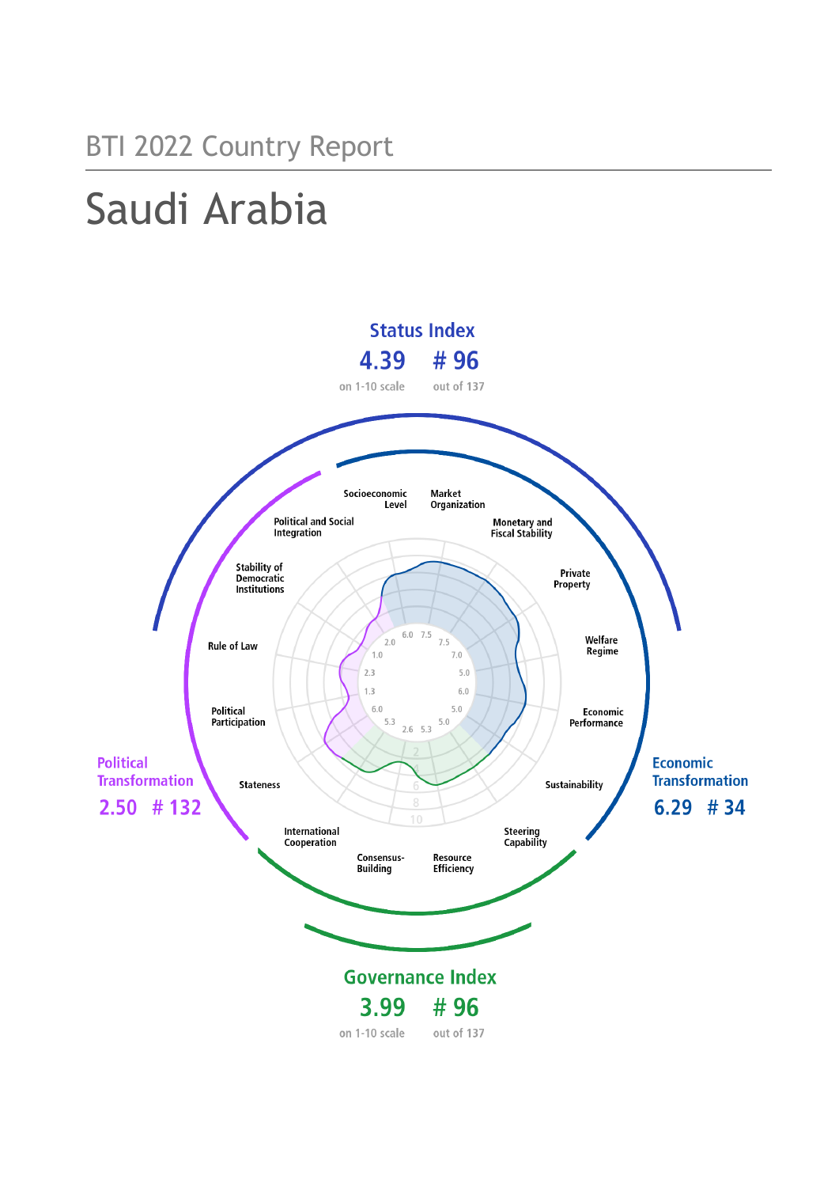# Saudi Arabia

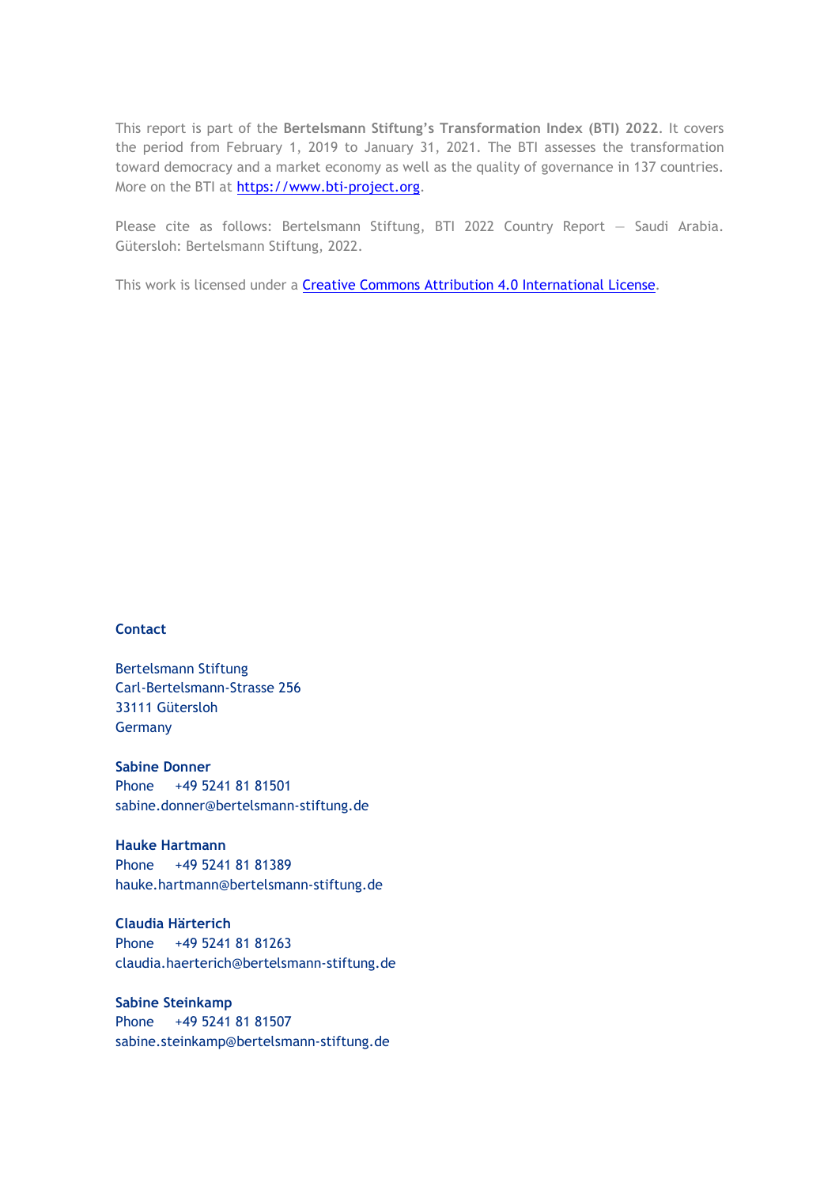This report is part of the **Bertelsmann Stiftung's Transformation Index (BTI) 2022**. It covers the period from February 1, 2019 to January 31, 2021. The BTI assesses the transformation toward democracy and a market economy as well as the quality of governance in 137 countries. More on the BTI at [https://www.bti-project.org.](https://www.bti-project.org/)

Please cite as follows: Bertelsmann Stiftung, BTI 2022 Country Report — Saudi Arabia. Gütersloh: Bertelsmann Stiftung, 2022.

This work is licensed under a **Creative Commons Attribution 4.0 International License**.

#### **Contact**

Bertelsmann Stiftung Carl-Bertelsmann-Strasse 256 33111 Gütersloh Germany

**Sabine Donner** Phone +49 5241 81 81501 sabine.donner@bertelsmann-stiftung.de

**Hauke Hartmann** Phone +49 5241 81 81389 hauke.hartmann@bertelsmann-stiftung.de

**Claudia Härterich** Phone +49 5241 81 81263 claudia.haerterich@bertelsmann-stiftung.de

**Sabine Steinkamp** Phone +49 5241 81 81507 sabine.steinkamp@bertelsmann-stiftung.de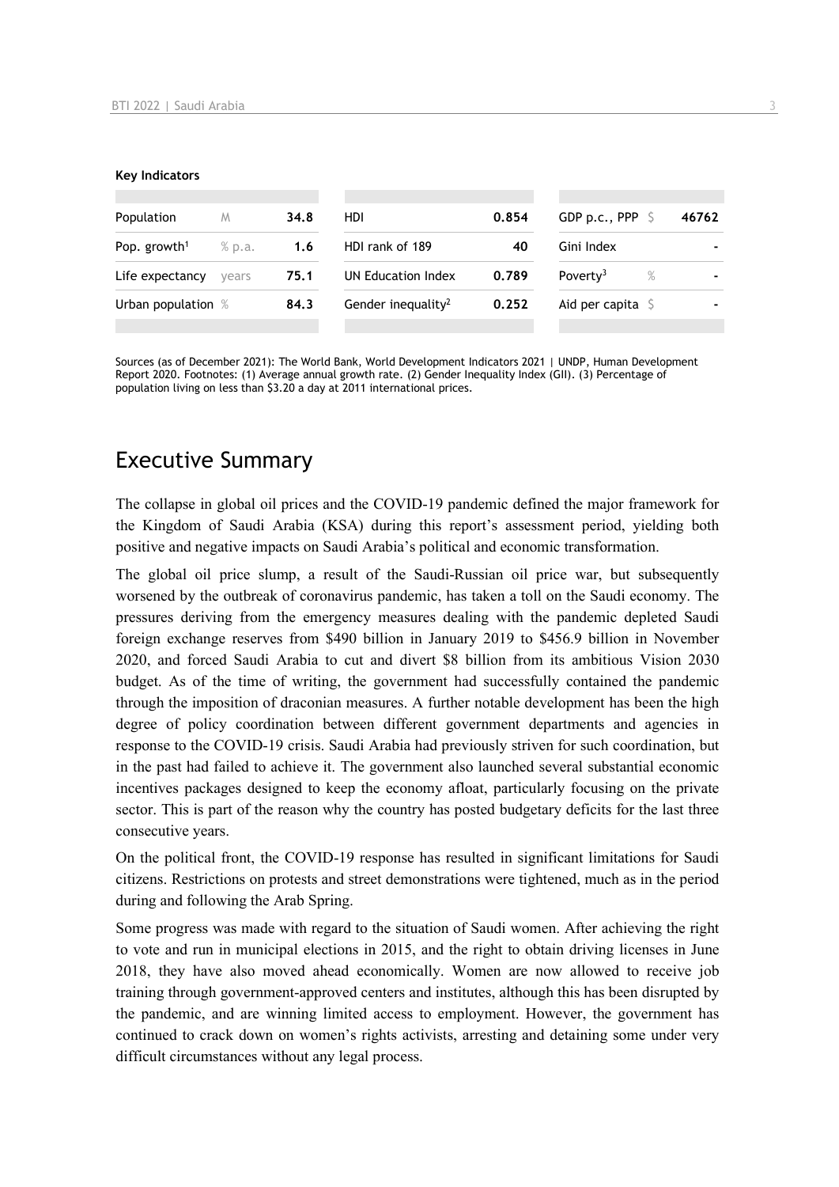#### **Key Indicators**

| Population               | M      | 34.8 | HDI.                           | 0.854 | GDP p.c., PPP $\ S$       |      | 46762 |
|--------------------------|--------|------|--------------------------------|-------|---------------------------|------|-------|
| Pop. growth <sup>1</sup> | % p.a. | 1.6  | HDI rank of 189                | 40    | Gini Index                |      |       |
| Life expectancy          | vears  | 75.1 | UN Education Index             | 0.789 | Poverty <sup>3</sup>      | $\%$ |       |
| Urban population %       |        | 84.3 | Gender inequality <sup>2</sup> | 0.252 | Aid per capita $\sqrt{5}$ |      |       |
|                          |        |      |                                |       |                           |      |       |

Sources (as of December 2021): The World Bank, World Development Indicators 2021 | UNDP, Human Development Report 2020. Footnotes: (1) Average annual growth rate. (2) Gender Inequality Index (GII). (3) Percentage of population living on less than \$3.20 a day at 2011 international prices.

# Executive Summary

The collapse in global oil prices and the COVID-19 pandemic defined the major framework for the Kingdom of Saudi Arabia (KSA) during this report's assessment period, yielding both positive and negative impacts on Saudi Arabia's political and economic transformation.

The global oil price slump, a result of the Saudi-Russian oil price war, but subsequently worsened by the outbreak of coronavirus pandemic, has taken a toll on the Saudi economy. The pressures deriving from the emergency measures dealing with the pandemic depleted Saudi foreign exchange reserves from \$490 billion in January 2019 to \$456.9 billion in November 2020, and forced Saudi Arabia to cut and divert \$8 billion from its ambitious Vision 2030 budget. As of the time of writing, the government had successfully contained the pandemic through the imposition of draconian measures. A further notable development has been the high degree of policy coordination between different government departments and agencies in response to the COVID-19 crisis. Saudi Arabia had previously striven for such coordination, but in the past had failed to achieve it. The government also launched several substantial economic incentives packages designed to keep the economy afloat, particularly focusing on the private sector. This is part of the reason why the country has posted budgetary deficits for the last three consecutive years.

On the political front, the COVID-19 response has resulted in significant limitations for Saudi citizens. Restrictions on protests and street demonstrations were tightened, much as in the period during and following the Arab Spring.

Some progress was made with regard to the situation of Saudi women. After achieving the right to vote and run in municipal elections in 2015, and the right to obtain driving licenses in June 2018, they have also moved ahead economically. Women are now allowed to receive job training through government-approved centers and institutes, although this has been disrupted by the pandemic, and are winning limited access to employment. However, the government has continued to crack down on women's rights activists, arresting and detaining some under very difficult circumstances without any legal process.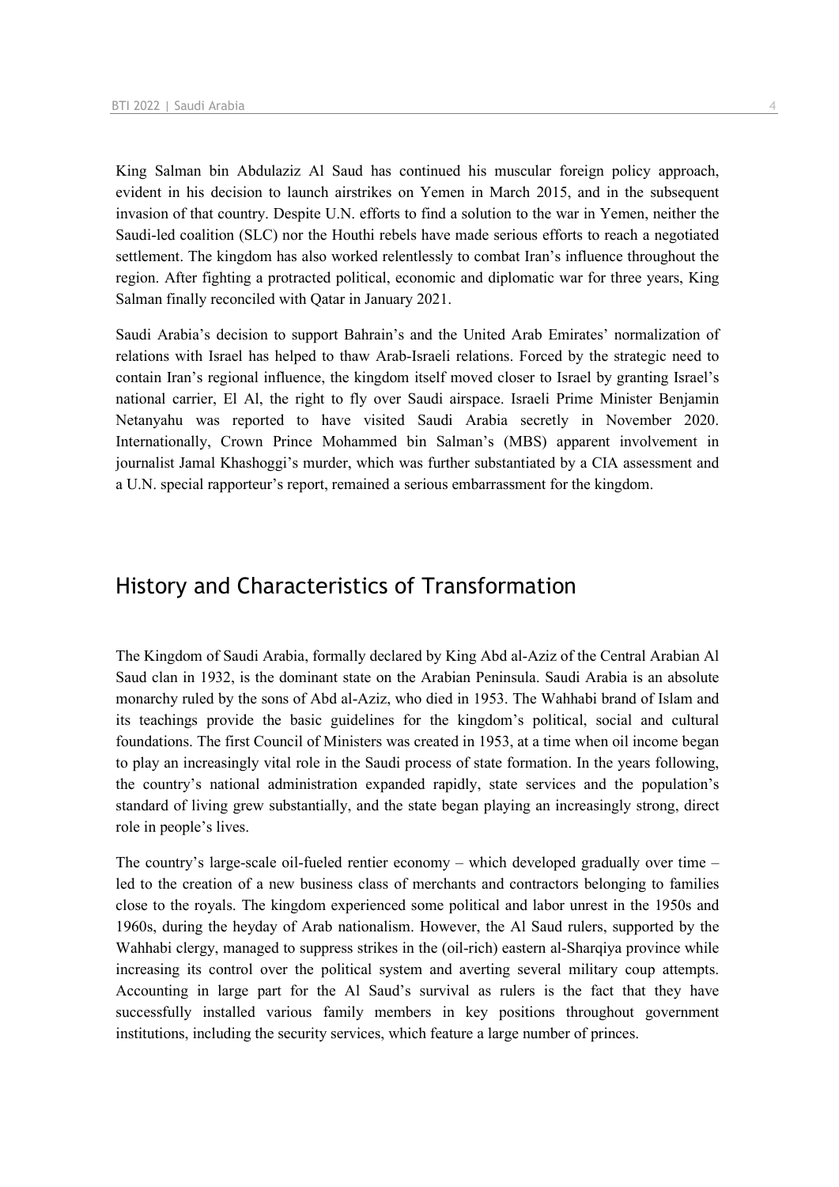King Salman bin Abdulaziz Al Saud has continued his muscular foreign policy approach, evident in his decision to launch airstrikes on Yemen in March 2015, and in the subsequent invasion of that country. Despite U.N. efforts to find a solution to the war in Yemen, neither the Saudi-led coalition (SLC) nor the Houthi rebels have made serious efforts to reach a negotiated settlement. The kingdom has also worked relentlessly to combat Iran's influence throughout the region. After fighting a protracted political, economic and diplomatic war for three years, King Salman finally reconciled with Qatar in January 2021.

Saudi Arabia's decision to support Bahrain's and the United Arab Emirates' normalization of relations with Israel has helped to thaw Arab-Israeli relations. Forced by the strategic need to contain Iran's regional influence, the kingdom itself moved closer to Israel by granting Israel's national carrier, El Al, the right to fly over Saudi airspace. Israeli Prime Minister Benjamin Netanyahu was reported to have visited Saudi Arabia secretly in November 2020. Internationally, Crown Prince Mohammed bin Salman's (MBS) apparent involvement in journalist Jamal Khashoggi's murder, which was further substantiated by a CIA assessment and a U.N. special rapporteur's report, remained a serious embarrassment for the kingdom.

# History and Characteristics of Transformation

The Kingdom of Saudi Arabia, formally declared by King Abd al-Aziz of the Central Arabian Al Saud clan in 1932, is the dominant state on the Arabian Peninsula. Saudi Arabia is an absolute monarchy ruled by the sons of Abd al-Aziz, who died in 1953. The Wahhabi brand of Islam and its teachings provide the basic guidelines for the kingdom's political, social and cultural foundations. The first Council of Ministers was created in 1953, at a time when oil income began to play an increasingly vital role in the Saudi process of state formation. In the years following, the country's national administration expanded rapidly, state services and the population's standard of living grew substantially, and the state began playing an increasingly strong, direct role in people's lives.

The country's large-scale oil-fueled rentier economy – which developed gradually over time – led to the creation of a new business class of merchants and contractors belonging to families close to the royals. The kingdom experienced some political and labor unrest in the 1950s and 1960s, during the heyday of Arab nationalism. However, the Al Saud rulers, supported by the Wahhabi clergy, managed to suppress strikes in the (oil-rich) eastern al-Sharqiya province while increasing its control over the political system and averting several military coup attempts. Accounting in large part for the Al Saud's survival as rulers is the fact that they have successfully installed various family members in key positions throughout government institutions, including the security services, which feature a large number of princes.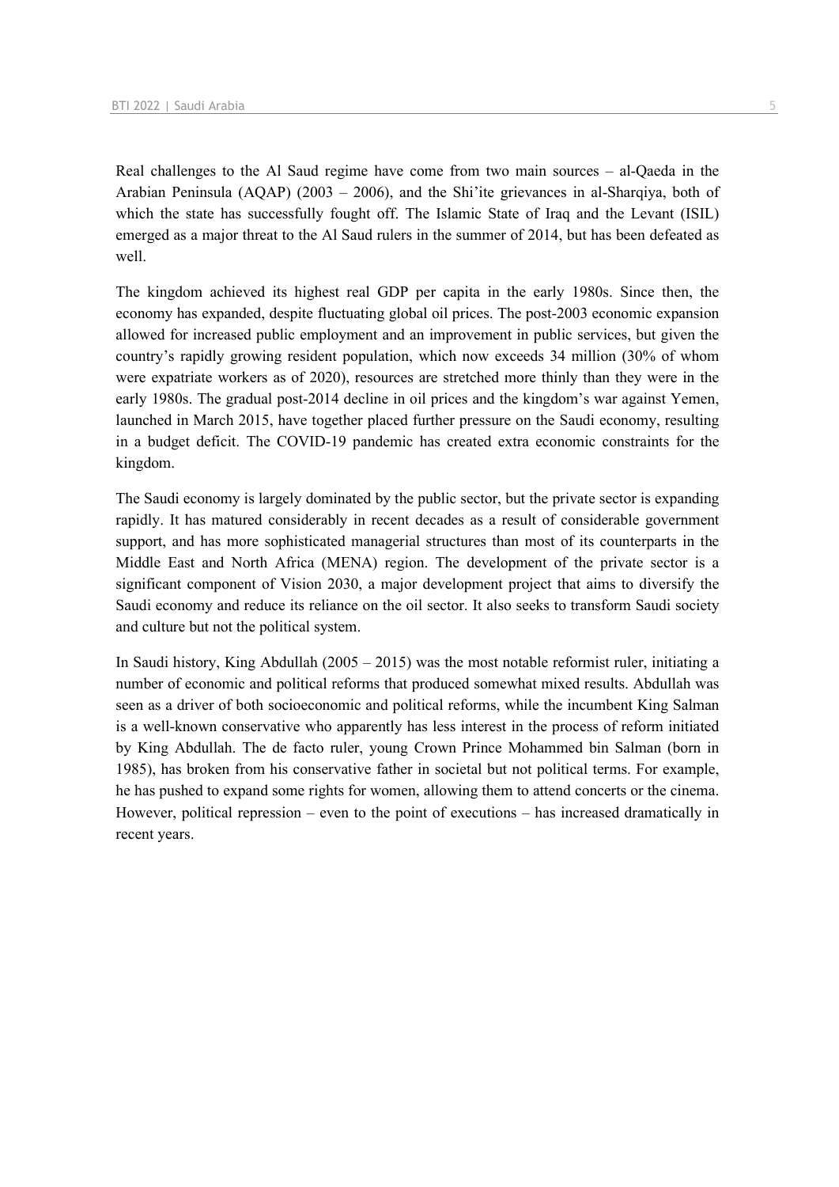Real challenges to the Al Saud regime have come from two main sources – al-Qaeda in the Arabian Peninsula (AQAP) (2003 – 2006), and the Shi'ite grievances in al-Sharqiya, both of which the state has successfully fought off. The Islamic State of Iraq and the Levant (ISIL) emerged as a major threat to the Al Saud rulers in the summer of 2014, but has been defeated as well.

The kingdom achieved its highest real GDP per capita in the early 1980s. Since then, the economy has expanded, despite fluctuating global oil prices. The post-2003 economic expansion allowed for increased public employment and an improvement in public services, but given the country's rapidly growing resident population, which now exceeds 34 million (30% of whom were expatriate workers as of 2020), resources are stretched more thinly than they were in the early 1980s. The gradual post-2014 decline in oil prices and the kingdom's war against Yemen, launched in March 2015, have together placed further pressure on the Saudi economy, resulting in a budget deficit. The COVID-19 pandemic has created extra economic constraints for the kingdom.

The Saudi economy is largely dominated by the public sector, but the private sector is expanding rapidly. It has matured considerably in recent decades as a result of considerable government support, and has more sophisticated managerial structures than most of its counterparts in the Middle East and North Africa (MENA) region. The development of the private sector is a significant component of Vision 2030, a major development project that aims to diversify the Saudi economy and reduce its reliance on the oil sector. It also seeks to transform Saudi society and culture but not the political system.

In Saudi history, King Abdullah (2005 – 2015) was the most notable reformist ruler, initiating a number of economic and political reforms that produced somewhat mixed results. Abdullah was seen as a driver of both socioeconomic and political reforms, while the incumbent King Salman is a well-known conservative who apparently has less interest in the process of reform initiated by King Abdullah. The de facto ruler, young Crown Prince Mohammed bin Salman (born in 1985), has broken from his conservative father in societal but not political terms. For example, he has pushed to expand some rights for women, allowing them to attend concerts or the cinema. However, political repression – even to the point of executions – has increased dramatically in recent years.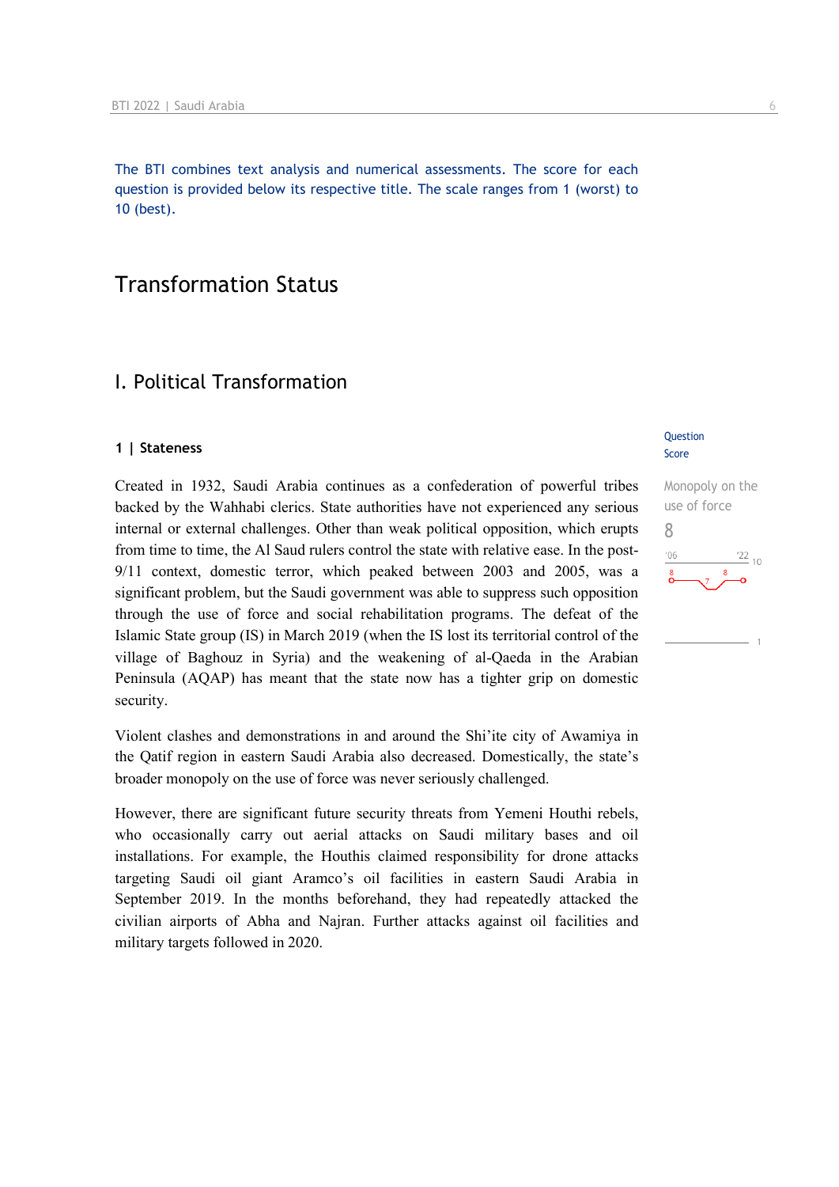The BTI combines text analysis and numerical assessments. The score for each question is provided below its respective title. The scale ranges from 1 (worst) to 10 (best).

# Transformation Status

## I. Political Transformation

#### **1 | Stateness**

Created in 1932, Saudi Arabia continues as a confederation of powerful tribes backed by the Wahhabi clerics. State authorities have not experienced any serious internal or external challenges. Other than weak political opposition, which erupts from time to time, the Al Saud rulers control the state with relative ease. In the post-9/11 context, domestic terror, which peaked between 2003 and 2005, was a significant problem, but the Saudi government was able to suppress such opposition through the use of force and social rehabilitation programs. The defeat of the Islamic State group (IS) in March 2019 (when the IS lost its territorial control of the village of Baghouz in Syria) and the weakening of al-Qaeda in the Arabian Peninsula (AQAP) has meant that the state now has a tighter grip on domestic security.

Violent clashes and demonstrations in and around the Shi'ite city of Awamiya in the Qatif region in eastern Saudi Arabia also decreased. Domestically, the state's broader monopoly on the use of force was never seriously challenged.

However, there are significant future security threats from Yemeni Houthi rebels, who occasionally carry out aerial attacks on Saudi military bases and oil installations. For example, the Houthis claimed responsibility for drone attacks targeting Saudi oil giant Aramco's oil facilities in eastern Saudi Arabia in September 2019. In the months beforehand, they had repeatedly attacked the civilian airports of Abha and Najran. Further attacks against oil facilities and military targets followed in 2020.

#### **Question** Score

Monopoly on the use of force 8 $\frac{22}{10}$  $n<sub>f</sub>$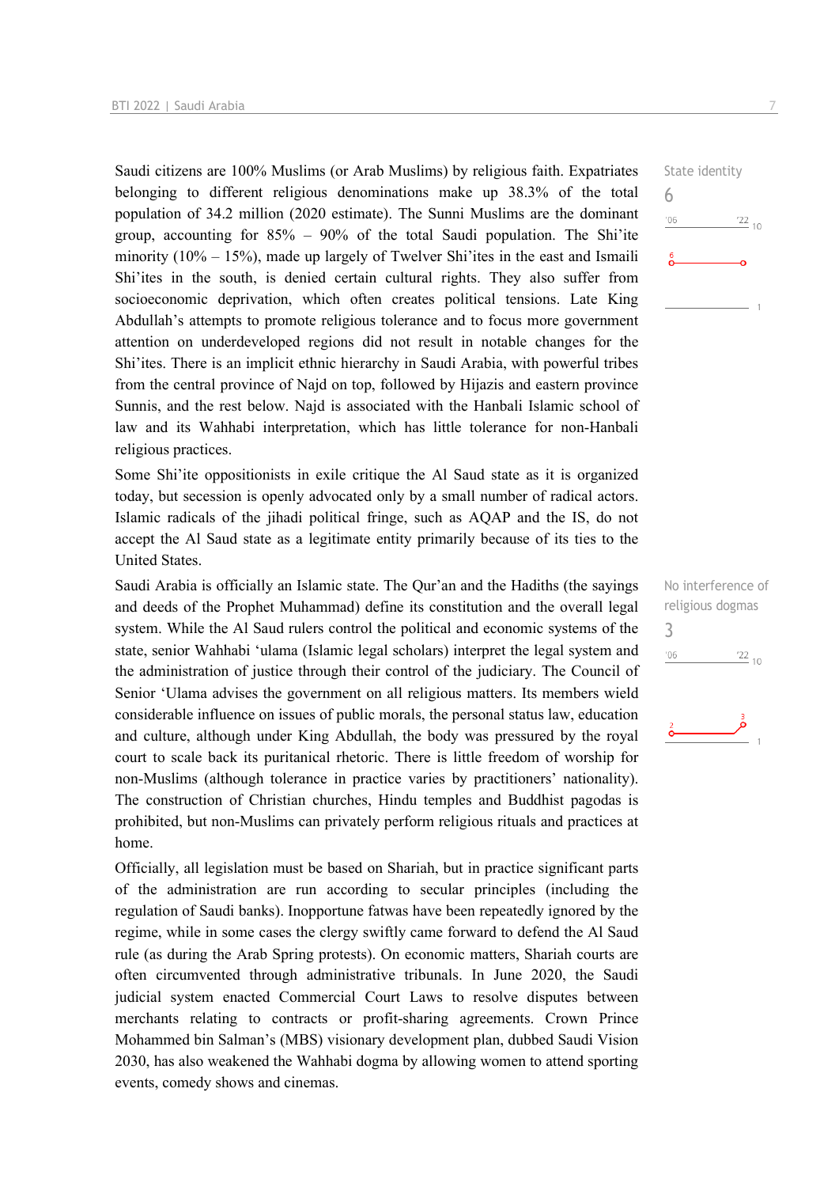Saudi citizens are 100% Muslims (or Arab Muslims) by religious faith. Expatriates belonging to different religious denominations make up 38.3% of the total population of 34.2 million (2020 estimate). The Sunni Muslims are the dominant group, accounting for  $85\%$  –  $90\%$  of the total Saudi population. The Shi'ite minority  $(10\% - 15\%)$ , made up largely of Twelver Shi'ites in the east and Ismaili Shi'ites in the south, is denied certain cultural rights. They also suffer from socioeconomic deprivation, which often creates political tensions. Late King Abdullah's attempts to promote religious tolerance and to focus more government attention on underdeveloped regions did not result in notable changes for the Shi'ites. There is an implicit ethnic hierarchy in Saudi Arabia, with powerful tribes from the central province of Najd on top, followed by Hijazis and eastern province Sunnis, and the rest below. Najd is associated with the Hanbali Islamic school of law and its Wahhabi interpretation, which has little tolerance for non-Hanbali religious practices.

Some Shi'ite oppositionists in exile critique the Al Saud state as it is organized today, but secession is openly advocated only by a small number of radical actors. Islamic radicals of the jihadi political fringe, such as AQAP and the IS, do not accept the Al Saud state as a legitimate entity primarily because of its ties to the United States.

Saudi Arabia is officially an Islamic state. The Qur'an and the Hadiths (the sayings and deeds of the Prophet Muhammad) define its constitution and the overall legal system. While the Al Saud rulers control the political and economic systems of the state, senior Wahhabi 'ulama (Islamic legal scholars) interpret the legal system and the administration of justice through their control of the judiciary. The Council of Senior 'Ulama advises the government on all religious matters. Its members wield considerable influence on issues of public morals, the personal status law, education and culture, although under King Abdullah, the body was pressured by the royal court to scale back its puritanical rhetoric. There is little freedom of worship for non-Muslims (although tolerance in practice varies by practitioners' nationality). The construction of Christian churches, Hindu temples and Buddhist pagodas is prohibited, but non-Muslims can privately perform religious rituals and practices at home.

Officially, all legislation must be based on Shariah, but in practice significant parts of the administration are run according to secular principles (including the regulation of Saudi banks). Inopportune fatwas have been repeatedly ignored by the regime, while in some cases the clergy swiftly came forward to defend the Al Saud rule (as during the Arab Spring protests). On economic matters, Shariah courts are often circumvented through administrative tribunals. In June 2020, the Saudi judicial system enacted Commercial Court Laws to resolve disputes between merchants relating to contracts or profit-sharing agreements. Crown Prince Mohammed bin Salman's (MBS) visionary development plan, dubbed Saudi Vision 2030, has also weakened the Wahhabi dogma by allowing women to attend sporting events, comedy shows and cinemas.

State identity 6  $\frac{22}{10}$  $^{\prime}06$ 

No interference of religious dogmas 3 $'06$  $\frac{22}{10}$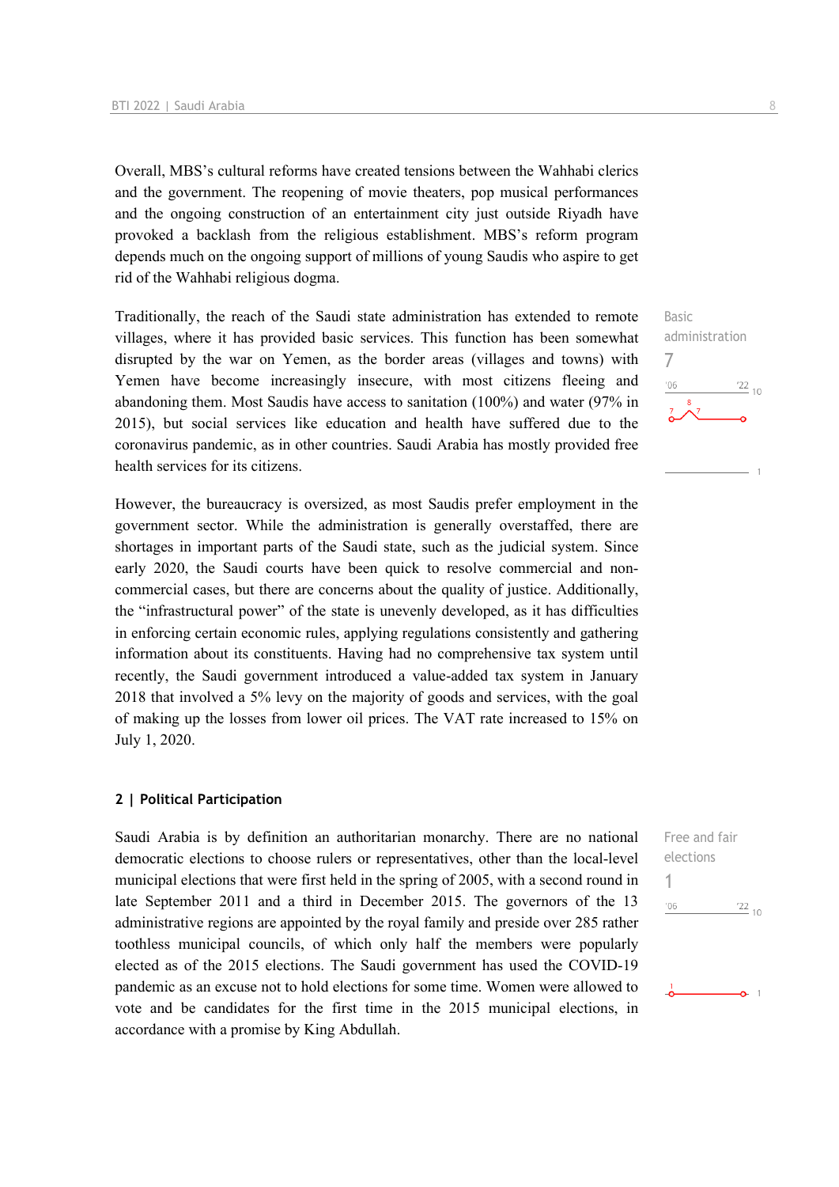Overall, MBS's cultural reforms have created tensions between the Wahhabi clerics and the government. The reopening of movie theaters, pop musical performances and the ongoing construction of an entertainment city just outside Riyadh have provoked a backlash from the religious establishment. MBS's reform program depends much on the ongoing support of millions of young Saudis who aspire to get rid of the Wahhabi religious dogma.

Traditionally, the reach of the Saudi state administration has extended to remote villages, where it has provided basic services. This function has been somewhat disrupted by the war on Yemen, as the border areas (villages and towns) with Yemen have become increasingly insecure, with most citizens fleeing and abandoning them. Most Saudis have access to sanitation (100%) and water (97% in 2015), but social services like education and health have suffered due to the coronavirus pandemic, as in other countries. Saudi Arabia has mostly provided free health services for its citizens.

However, the bureaucracy is oversized, as most Saudis prefer employment in the government sector. While the administration is generally overstaffed, there are shortages in important parts of the Saudi state, such as the judicial system. Since early 2020, the Saudi courts have been quick to resolve commercial and noncommercial cases, but there are concerns about the quality of justice. Additionally, the "infrastructural power" of the state is unevenly developed, as it has difficulties in enforcing certain economic rules, applying regulations consistently and gathering information about its constituents. Having had no comprehensive tax system until recently, the Saudi government introduced a value-added tax system in January 2018 that involved a 5% levy on the majority of goods and services, with the goal of making up the losses from lower oil prices. The VAT rate increased to 15% on July 1, 2020.

#### **2 | Political Participation**

Saudi Arabia is by definition an authoritarian monarchy. There are no national democratic elections to choose rulers or representatives, other than the local-level municipal elections that were first held in the spring of 2005, with a second round in late September 2011 and a third in December 2015. The governors of the 13 administrative regions are appointed by the royal family and preside over 285 rather toothless municipal councils, of which only half the members were popularly elected as of the 2015 elections. The Saudi government has used the COVID-19 pandemic as an excuse not to hold elections for some time. Women were allowed to vote and be candidates for the first time in the 2015 municipal elections, in accordance with a promise by King Abdullah.



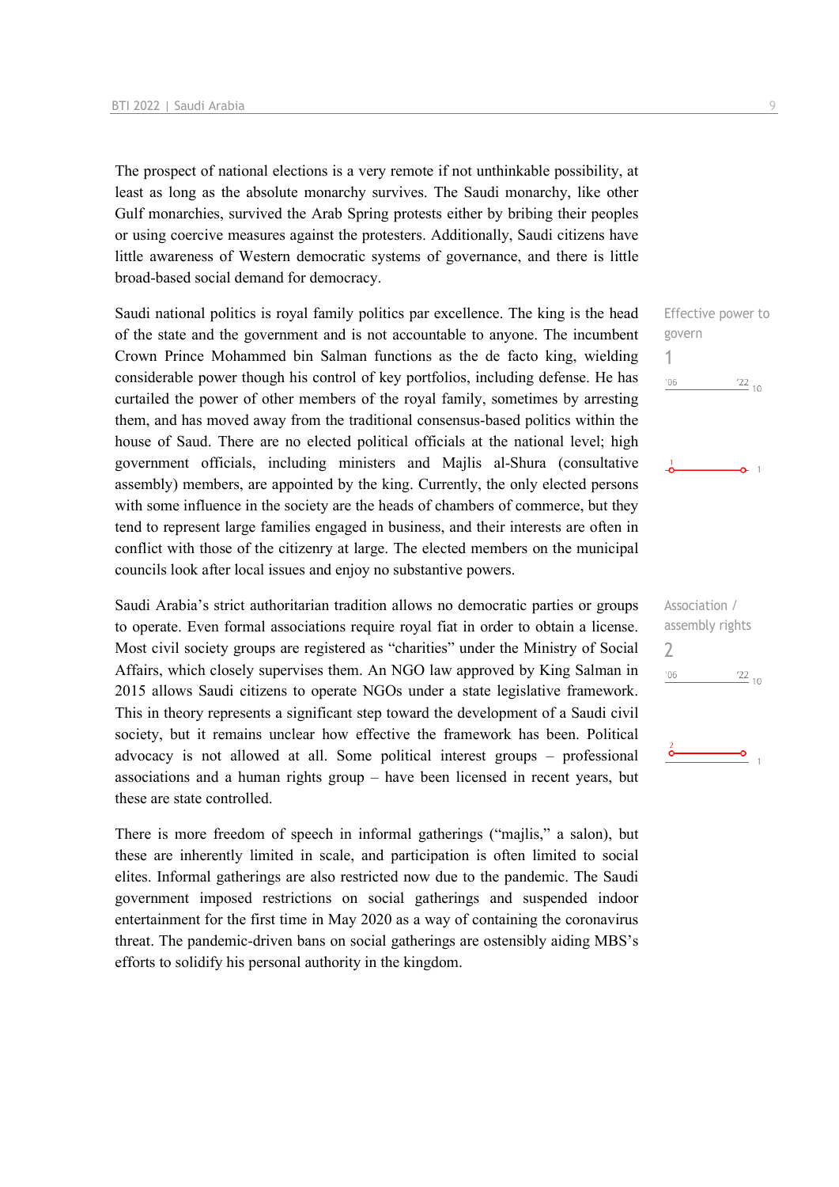The prospect of national elections is a very remote if not unthinkable possibility, at least as long as the absolute monarchy survives. The Saudi monarchy, like other Gulf monarchies, survived the Arab Spring protests either by bribing their peoples or using coercive measures against the protesters. Additionally, Saudi citizens have little awareness of Western democratic systems of governance, and there is little broad-based social demand for democracy.

Saudi national politics is royal family politics par excellence. The king is the head of the state and the government and is not accountable to anyone. The incumbent Crown Prince Mohammed bin Salman functions as the de facto king, wielding considerable power though his control of key portfolios, including defense. He has curtailed the power of other members of the royal family, sometimes by arresting them, and has moved away from the traditional consensus-based politics within the house of Saud. There are no elected political officials at the national level; high government officials, including ministers and Majlis al-Shura (consultative assembly) members, are appointed by the king. Currently, the only elected persons with some influence in the society are the heads of chambers of commerce, but they tend to represent large families engaged in business, and their interests are often in conflict with those of the citizenry at large. The elected members on the municipal councils look after local issues and enjoy no substantive powers.

Saudi Arabia's strict authoritarian tradition allows no democratic parties or groups to operate. Even formal associations require royal fiat in order to obtain a license. Most civil society groups are registered as "charities" under the Ministry of Social Affairs, which closely supervises them. An NGO law approved by King Salman in 2015 allows Saudi citizens to operate NGOs under a state legislative framework. This in theory represents a significant step toward the development of a Saudi civil society, but it remains unclear how effective the framework has been. Political advocacy is not allowed at all. Some political interest groups – professional associations and a human rights group – have been licensed in recent years, but these are state controlled.

There is more freedom of speech in informal gatherings ("majlis," a salon), but these are inherently limited in scale, and participation is often limited to social elites. Informal gatherings are also restricted now due to the pandemic. The Saudi government imposed restrictions on social gatherings and suspended indoor entertainment for the first time in May 2020 as a way of containing the coronavirus threat. The pandemic-driven bans on social gatherings are ostensibly aiding MBS's efforts to solidify his personal authority in the kingdom.

Effective power to govern 1  $-06$  $\frac{22}{10}$ 

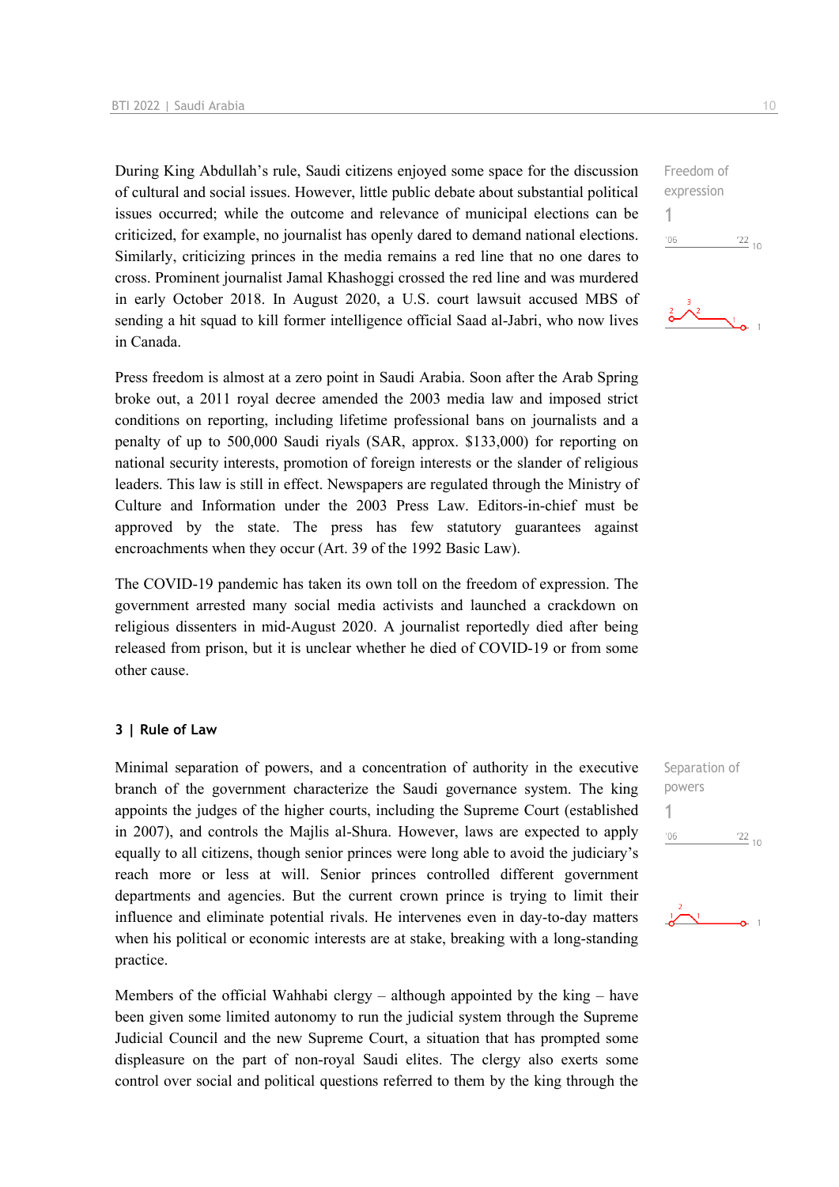During King Abdullah's rule, Saudi citizens enjoyed some space for the discussion of cultural and social issues. However, little public debate about substantial political issues occurred; while the outcome and relevance of municipal elections can be criticized, for example, no journalist has openly dared to demand national elections. Similarly, criticizing princes in the media remains a red line that no one dares to cross. Prominent journalist Jamal Khashoggi crossed the red line and was murdered in early October 2018. In August 2020, a U.S. court lawsuit accused MBS of sending a hit squad to kill former intelligence official Saad al-Jabri, who now lives in Canada.

Press freedom is almost at a zero point in Saudi Arabia. Soon after the Arab Spring broke out, a 2011 royal decree amended the 2003 media law and imposed strict conditions on reporting, including lifetime professional bans on journalists and a penalty of up to 500,000 Saudi riyals (SAR, approx. \$133,000) for reporting on national security interests, promotion of foreign interests or the slander of religious leaders. This law is still in effect. Newspapers are regulated through the Ministry of Culture and Information under the 2003 Press Law. Editors-in-chief must be approved by the state. The press has few statutory guarantees against encroachments when they occur (Art. 39 of the 1992 Basic Law).

The COVID-19 pandemic has taken its own toll on the freedom of expression. The government arrested many social media activists and launched a crackdown on religious dissenters in mid-August 2020. A journalist reportedly died after being released from prison, but it is unclear whether he died of COVID-19 or from some other cause.

#### **3 | Rule of Law**

Minimal separation of powers, and a concentration of authority in the executive branch of the government characterize the Saudi governance system. The king appoints the judges of the higher courts, including the Supreme Court (established in 2007), and controls the Majlis al-Shura. However, laws are expected to apply equally to all citizens, though senior princes were long able to avoid the judiciary's reach more or less at will. Senior princes controlled different government departments and agencies. But the current crown prince is trying to limit their influence and eliminate potential rivals. He intervenes even in day-to-day matters when his political or economic interests are at stake, breaking with a long-standing practice.

Members of the official Wahhabi clergy – although appointed by the king – have been given some limited autonomy to run the judicial system through the Supreme Judicial Council and the new Supreme Court, a situation that has prompted some displeasure on the part of non-royal Saudi elites. The clergy also exerts some control over social and political questions referred to them by the king through the Separation of powers 1 $\frac{22}{10}$  $06'$ 



| Freedom of |                 |  |
|------------|-----------------|--|
| expression |                 |  |
|            |                 |  |
| '06        | $\frac{22}{10}$ |  |
|            |                 |  |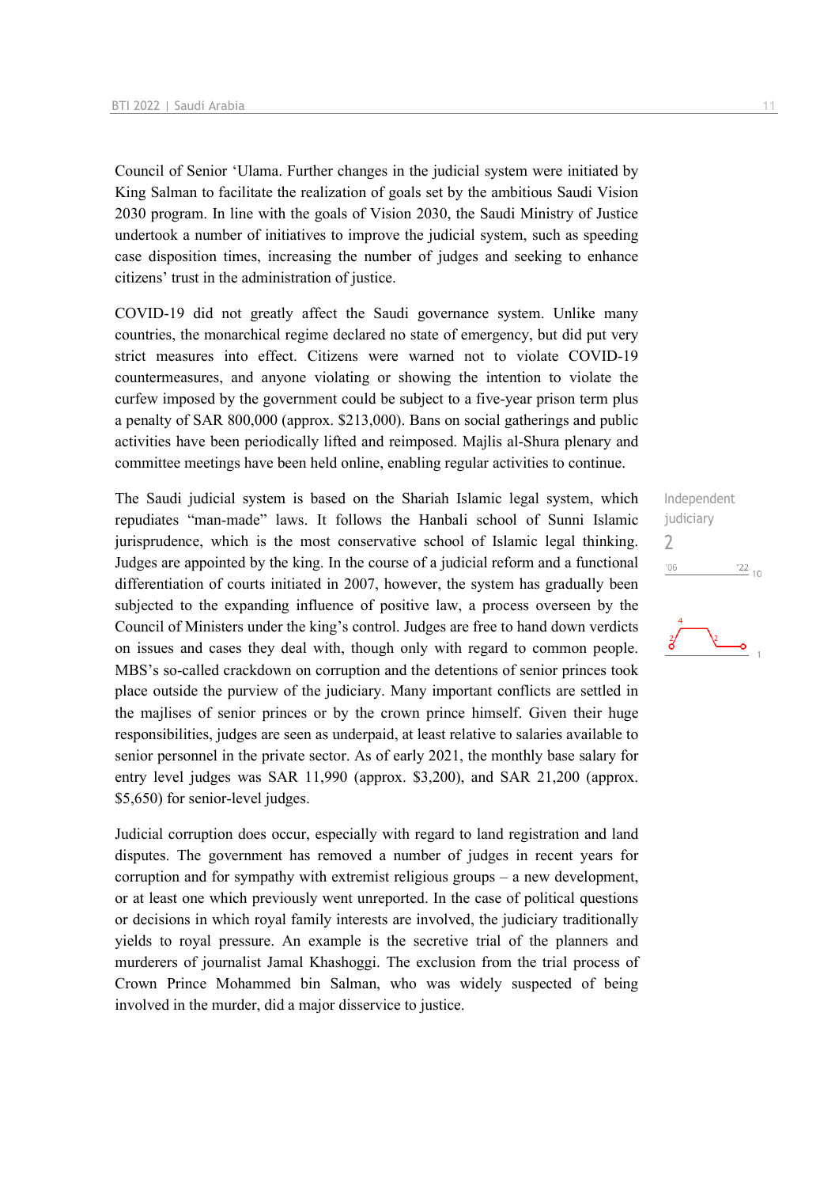Council of Senior 'Ulama. Further changes in the judicial system were initiated by King Salman to facilitate the realization of goals set by the ambitious Saudi Vision 2030 program. In line with the goals of Vision 2030, the Saudi Ministry of Justice undertook a number of initiatives to improve the judicial system, such as speeding case disposition times, increasing the number of judges and seeking to enhance citizens' trust in the administration of justice.

COVID-19 did not greatly affect the Saudi governance system. Unlike many countries, the monarchical regime declared no state of emergency, but did put very strict measures into effect. Citizens were warned not to violate COVID-19 countermeasures, and anyone violating or showing the intention to violate the curfew imposed by the government could be subject to a five-year prison term plus a penalty of SAR 800,000 (approx. \$213,000). Bans on social gatherings and public activities have been periodically lifted and reimposed. Majlis al-Shura plenary and committee meetings have been held online, enabling regular activities to continue.

The Saudi judicial system is based on the Shariah Islamic legal system, which repudiates "man-made" laws. It follows the Hanbali school of Sunni Islamic jurisprudence, which is the most conservative school of Islamic legal thinking. Judges are appointed by the king. In the course of a judicial reform and a functional differentiation of courts initiated in 2007, however, the system has gradually been subjected to the expanding influence of positive law, a process overseen by the Council of Ministers under the king's control. Judges are free to hand down verdicts on issues and cases they deal with, though only with regard to common people. MBS's so-called crackdown on corruption and the detentions of senior princes took place outside the purview of the judiciary. Many important conflicts are settled in the majlises of senior princes or by the crown prince himself. Given their huge responsibilities, judges are seen as underpaid, at least relative to salaries available to senior personnel in the private sector. As of early 2021, the monthly base salary for entry level judges was SAR 11,990 (approx. \$3,200), and SAR 21,200 (approx. \$5,650) for senior-level judges.

Judicial corruption does occur, especially with regard to land registration and land disputes. The government has removed a number of judges in recent years for corruption and for sympathy with extremist religious groups – a new development, or at least one which previously went unreported. In the case of political questions or decisions in which royal family interests are involved, the judiciary traditionally yields to royal pressure. An example is the secretive trial of the planners and murderers of journalist Jamal Khashoggi. The exclusion from the trial process of Crown Prince Mohammed bin Salman, who was widely suspected of being involved in the murder, did a major disservice to justice.

Independent judiciary 2 $'06$  $\frac{22}{10}$ 

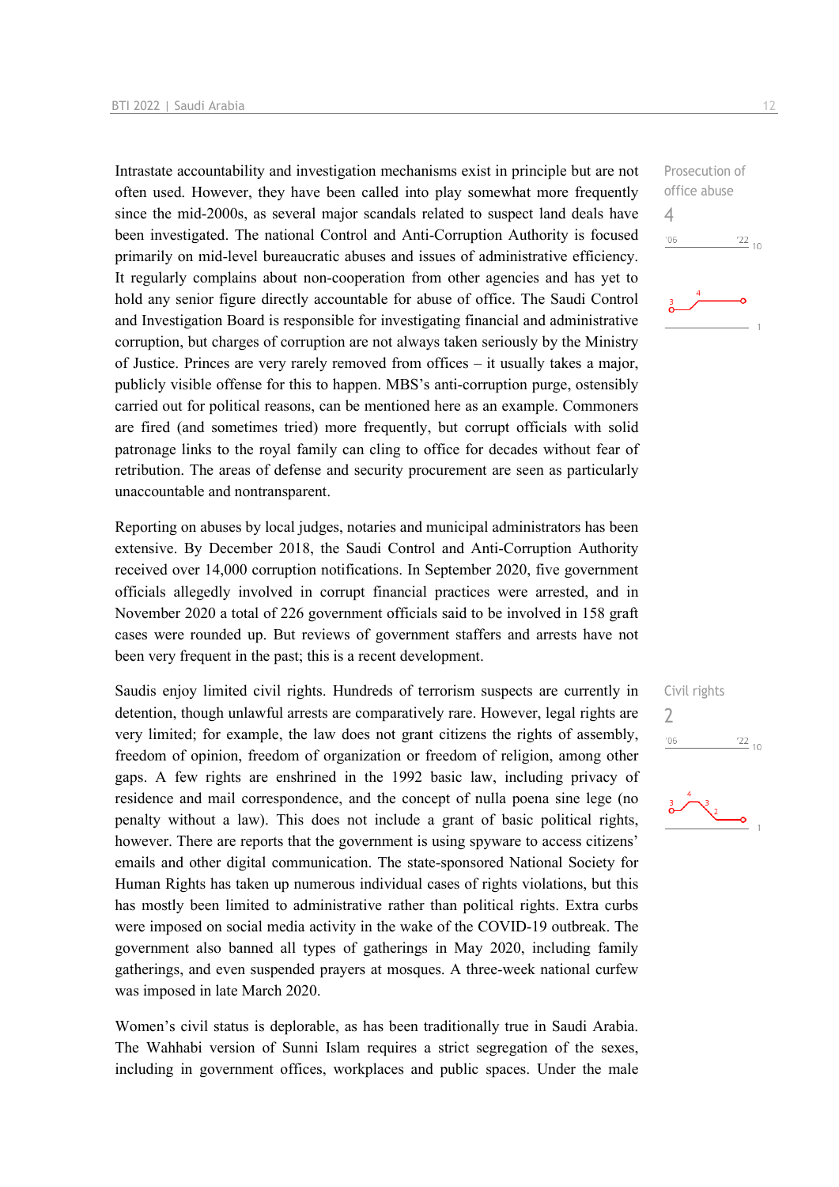Intrastate accountability and investigation mechanisms exist in principle but are not often used. However, they have been called into play somewhat more frequently since the mid-2000s, as several major scandals related to suspect land deals have been investigated. The national Control and Anti-Corruption Authority is focused primarily on mid-level bureaucratic abuses and issues of administrative efficiency. It regularly complains about non-cooperation from other agencies and has yet to hold any senior figure directly accountable for abuse of office. The Saudi Control and Investigation Board is responsible for investigating financial and administrative corruption, but charges of corruption are not always taken seriously by the Ministry of Justice. Princes are very rarely removed from offices – it usually takes a major, publicly visible offense for this to happen. MBS's anti-corruption purge, ostensibly carried out for political reasons, can be mentioned here as an example. Commoners are fired (and sometimes tried) more frequently, but corrupt officials with solid patronage links to the royal family can cling to office for decades without fear of retribution. The areas of defense and security procurement are seen as particularly unaccountable and nontransparent.

Reporting on abuses by local judges, notaries and municipal administrators has been extensive. By December 2018, the Saudi Control and Anti-Corruption Authority received over 14,000 corruption notifications. In September 2020, five government officials allegedly involved in corrupt financial practices were arrested, and in November 2020 a total of 226 government officials said to be involved in 158 graft cases were rounded up. But reviews of government staffers and arrests have not been very frequent in the past; this is a recent development.

Saudis enjoy limited civil rights. Hundreds of terrorism suspects are currently in detention, though unlawful arrests are comparatively rare. However, legal rights are very limited; for example, the law does not grant citizens the rights of assembly, freedom of opinion, freedom of organization or freedom of religion, among other gaps. A few rights are enshrined in the 1992 basic law, including privacy of residence and mail correspondence, and the concept of nulla poena sine lege (no penalty without a law). This does not include a grant of basic political rights, however. There are reports that the government is using spyware to access citizens' emails and other digital communication. The state-sponsored National Society for Human Rights has taken up numerous individual cases of rights violations, but this has mostly been limited to administrative rather than political rights. Extra curbs were imposed on social media activity in the wake of the COVID-19 outbreak. The government also banned all types of gatherings in May 2020, including family gatherings, and even suspended prayers at mosques. A three-week national curfew was imposed in late March 2020.

Women's civil status is deplorable, as has been traditionally true in Saudi Arabia. The Wahhabi version of Sunni Islam requires a strict segregation of the sexes, including in government offices, workplaces and public spaces. Under the male Prosecution of office abuse 4  $-06$  $\frac{22}{10}$ 



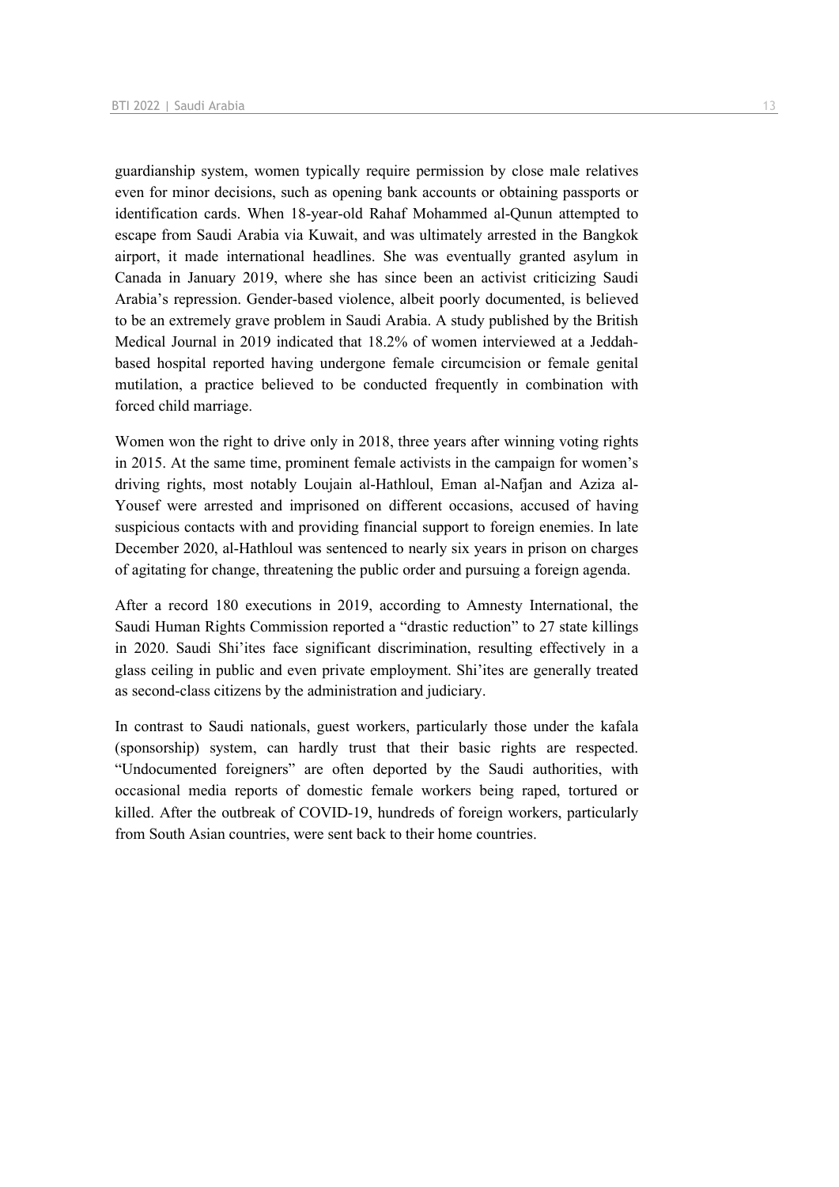guardianship system, women typically require permission by close male relatives even for minor decisions, such as opening bank accounts or obtaining passports or identification cards. When 18-year-old Rahaf Mohammed al-Qunun attempted to escape from Saudi Arabia via Kuwait, and was ultimately arrested in the Bangkok airport, it made international headlines. She was eventually granted asylum in Canada in January 2019, where she has since been an activist criticizing Saudi Arabia's repression. Gender-based violence, albeit poorly documented, is believed to be an extremely grave problem in Saudi Arabia. A study published by the British Medical Journal in 2019 indicated that 18.2% of women interviewed at a Jeddahbased hospital reported having undergone female circumcision or female genital mutilation, a practice believed to be conducted frequently in combination with forced child marriage.

Women won the right to drive only in 2018, three years after winning voting rights in 2015. At the same time, prominent female activists in the campaign for women's driving rights, most notably Loujain al-Hathloul, Eman al-Nafjan and Aziza al-Yousef were arrested and imprisoned on different occasions, accused of having suspicious contacts with and providing financial support to foreign enemies. In late December 2020, al-Hathloul was sentenced to nearly six years in prison on charges of agitating for change, threatening the public order and pursuing a foreign agenda.

After a record 180 executions in 2019, according to Amnesty International, the Saudi Human Rights Commission reported a "drastic reduction" to 27 state killings in 2020. Saudi Shi'ites face significant discrimination, resulting effectively in a glass ceiling in public and even private employment. Shi'ites are generally treated as second-class citizens by the administration and judiciary.

In contrast to Saudi nationals, guest workers, particularly those under the kafala (sponsorship) system, can hardly trust that their basic rights are respected. "Undocumented foreigners" are often deported by the Saudi authorities, with occasional media reports of domestic female workers being raped, tortured or killed. After the outbreak of COVID-19, hundreds of foreign workers, particularly from South Asian countries, were sent back to their home countries.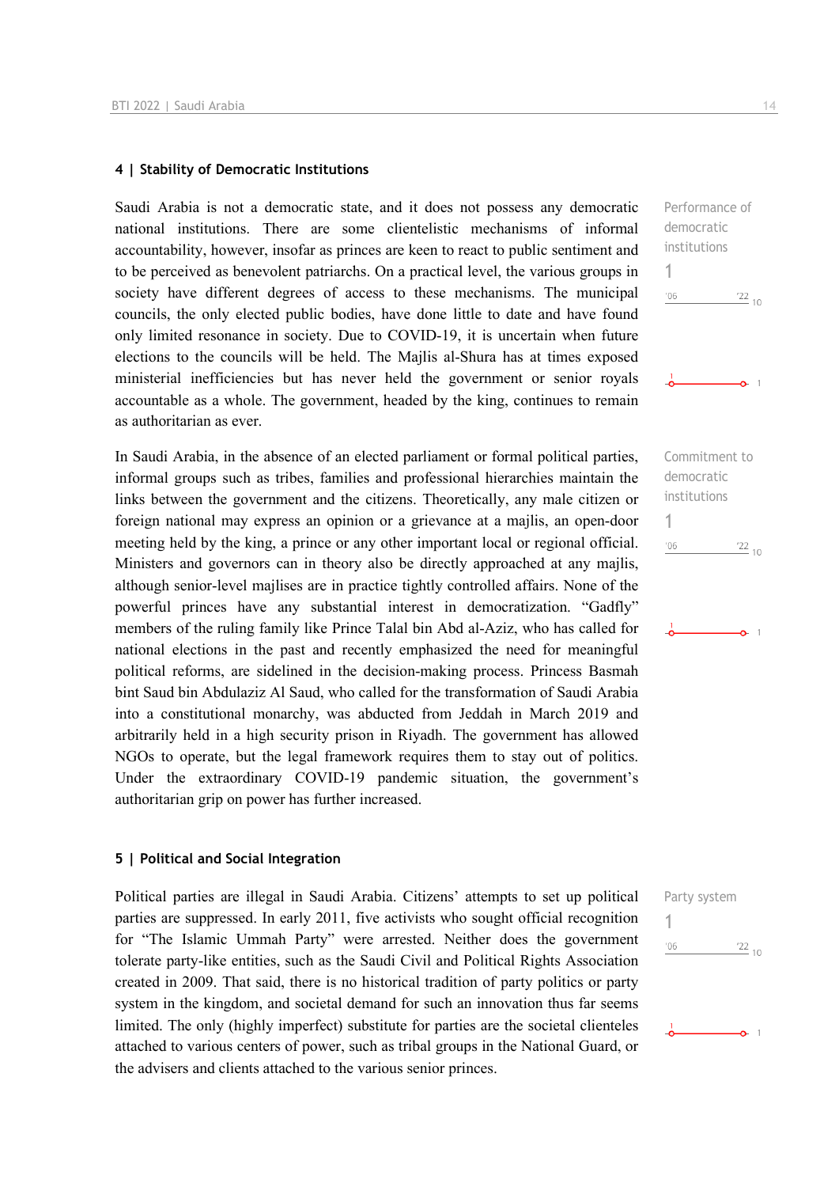#### **4 | Stability of Democratic Institutions**

Saudi Arabia is not a democratic state, and it does not possess any democratic national institutions. There are some clientelistic mechanisms of informal accountability, however, insofar as princes are keen to react to public sentiment and to be perceived as benevolent patriarchs. On a practical level, the various groups in society have different degrees of access to these mechanisms. The municipal councils, the only elected public bodies, have done little to date and have found only limited resonance in society. Due to COVID-19, it is uncertain when future elections to the councils will be held. The Majlis al-Shura has at times exposed ministerial inefficiencies but has never held the government or senior royals accountable as a whole. The government, headed by the king, continues to remain as authoritarian as ever.

In Saudi Arabia, in the absence of an elected parliament or formal political parties, informal groups such as tribes, families and professional hierarchies maintain the links between the government and the citizens. Theoretically, any male citizen or foreign national may express an opinion or a grievance at a majlis, an open-door meeting held by the king, a prince or any other important local or regional official. Ministers and governors can in theory also be directly approached at any majlis, although senior-level majlises are in practice tightly controlled affairs. None of the powerful princes have any substantial interest in democratization. "Gadfly" members of the ruling family like Prince Talal bin Abd al-Aziz, who has called for national elections in the past and recently emphasized the need for meaningful political reforms, are sidelined in the decision-making process. Princess Basmah bint Saud bin Abdulaziz Al Saud, who called for the transformation of Saudi Arabia into a constitutional monarchy, was abducted from Jeddah in March 2019 and arbitrarily held in a high security prison in Riyadh. The government has allowed NGOs to operate, but the legal framework requires them to stay out of politics. Under the extraordinary COVID-19 pandemic situation, the government's authoritarian grip on power has further increased.

#### **5 | Political and Social Integration**

Political parties are illegal in Saudi Arabia. Citizens' attempts to set up political parties are suppressed. In early 2011, five activists who sought official recognition for "The Islamic Ummah Party" were arrested. Neither does the government tolerate party-like entities, such as the Saudi Civil and Political Rights Association created in 2009. That said, there is no historical tradition of party politics or party system in the kingdom, and societal demand for such an innovation thus far seems limited. The only (highly imperfect) substitute for parties are the societal clienteles attached to various centers of power, such as tribal groups in the National Guard, or the advisers and clients attached to the various senior princes.

Performance of democratic institutions 1  $'06$  $\frac{22}{10}$  $\sim$  1

Commitment to democratic institutions 1  $'06$  $\frac{22}{10}$ 

| Party system |                 |
|--------------|-----------------|
|              |                 |
| '06          | $\frac{22}{10}$ |
|              |                 |
|              |                 |
|              |                 |
|              |                 |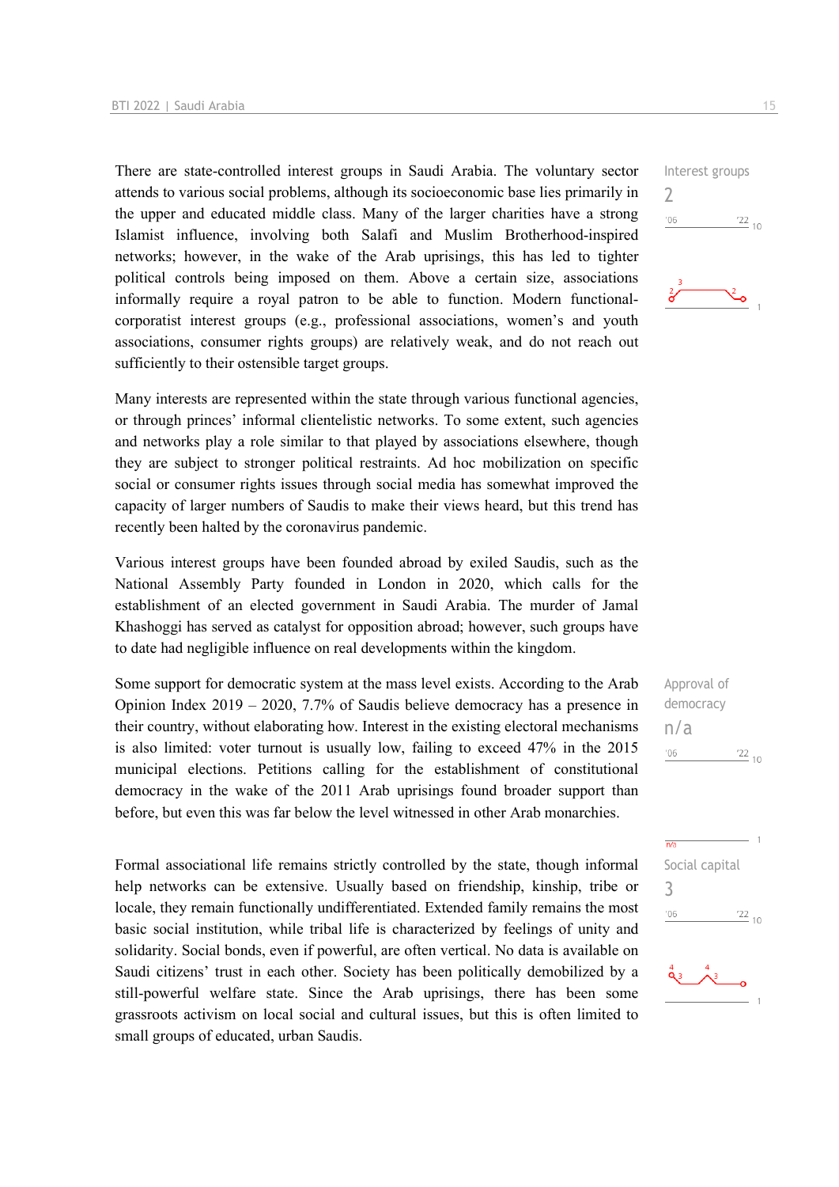There are state-controlled interest groups in Saudi Arabia. The voluntary sector attends to various social problems, although its socioeconomic base lies primarily in the upper and educated middle class. Many of the larger charities have a strong Islamist influence, involving both Salafi and Muslim Brotherhood-inspired networks; however, in the wake of the Arab uprisings, this has led to tighter political controls being imposed on them. Above a certain size, associations informally require a royal patron to be able to function. Modern functionalcorporatist interest groups (e.g., professional associations, women's and youth associations, consumer rights groups) are relatively weak, and do not reach out sufficiently to their ostensible target groups.

Many interests are represented within the state through various functional agencies, or through princes' informal clientelistic networks. To some extent, such agencies and networks play a role similar to that played by associations elsewhere, though they are subject to stronger political restraints. Ad hoc mobilization on specific social or consumer rights issues through social media has somewhat improved the capacity of larger numbers of Saudis to make their views heard, but this trend has recently been halted by the coronavirus pandemic.

Various interest groups have been founded abroad by exiled Saudis, such as the National Assembly Party founded in London in 2020, which calls for the establishment of an elected government in Saudi Arabia. The murder of Jamal Khashoggi has served as catalyst for opposition abroad; however, such groups have to date had negligible influence on real developments within the kingdom.

Some support for democratic system at the mass level exists. According to the Arab Opinion Index 2019 – 2020, 7.7% of Saudis believe democracy has a presence in their country, without elaborating how. Interest in the existing electoral mechanisms is also limited: voter turnout is usually low, failing to exceed 47% in the 2015 municipal elections. Petitions calling for the establishment of constitutional democracy in the wake of the 2011 Arab uprisings found broader support than before, but even this was far below the level witnessed in other Arab monarchies.

Formal associational life remains strictly controlled by the state, though informal help networks can be extensive. Usually based on friendship, kinship, tribe or locale, they remain functionally undifferentiated. Extended family remains the most basic social institution, while tribal life is characterized by feelings of unity and solidarity. Social bonds, even if powerful, are often vertical. No data is available on Saudi citizens' trust in each other. Society has been politically demobilized by a still-powerful welfare state. Since the Arab uprisings, there has been some grassroots activism on local social and cultural issues, but this is often limited to small groups of educated, urban Saudis.



Approval of democracy n/a  $-06$  $\frac{22}{10}$ 

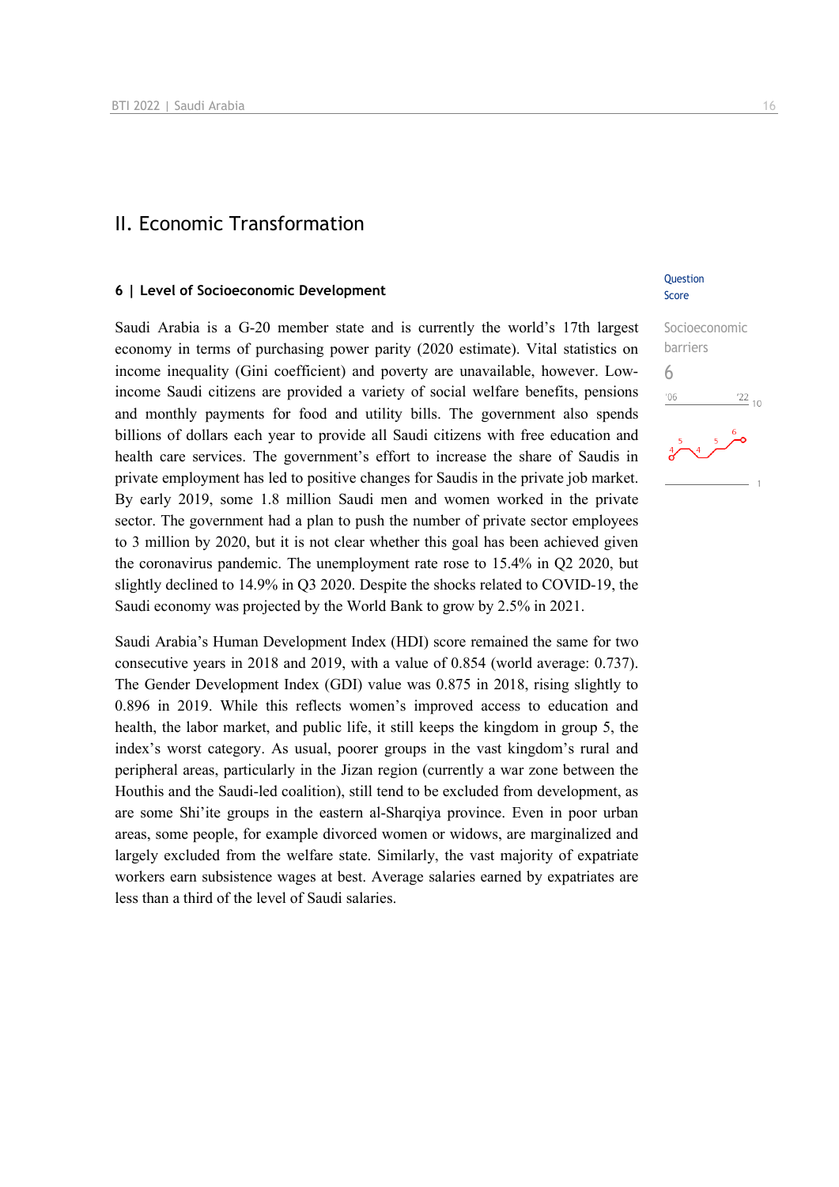### II. Economic Transformation

#### **6 | Level of Socioeconomic Development**

Saudi Arabia is a G-20 member state and is currently the world's 17th largest economy in terms of purchasing power parity (2020 estimate). Vital statistics on income inequality (Gini coefficient) and poverty are unavailable, however. Lowincome Saudi citizens are provided a variety of social welfare benefits, pensions and monthly payments for food and utility bills. The government also spends billions of dollars each year to provide all Saudi citizens with free education and health care services. The government's effort to increase the share of Saudis in private employment has led to positive changes for Saudis in the private job market. By early 2019, some 1.8 million Saudi men and women worked in the private sector. The government had a plan to push the number of private sector employees to 3 million by 2020, but it is not clear whether this goal has been achieved given the coronavirus pandemic. The unemployment rate rose to 15.4% in Q2 2020, but slightly declined to 14.9% in Q3 2020. Despite the shocks related to COVID-19, the Saudi economy was projected by the World Bank to grow by 2.5% in 2021.

Saudi Arabia's Human Development Index (HDI) score remained the same for two consecutive years in 2018 and 2019, with a value of 0.854 (world average: 0.737). The Gender Development Index (GDI) value was 0.875 in 2018, rising slightly to 0.896 in 2019. While this reflects women's improved access to education and health, the labor market, and public life, it still keeps the kingdom in group 5, the index's worst category. As usual, poorer groups in the vast kingdom's rural and peripheral areas, particularly in the Jizan region (currently a war zone between the Houthis and the Saudi-led coalition), still tend to be excluded from development, as are some Shi'ite groups in the eastern al-Sharqiya province. Even in poor urban areas, some people, for example divorced women or widows, are marginalized and largely excluded from the welfare state. Similarly, the vast majority of expatriate workers earn subsistence wages at best. Average salaries earned by expatriates are less than a third of the level of Saudi salaries.

#### **Question** Score

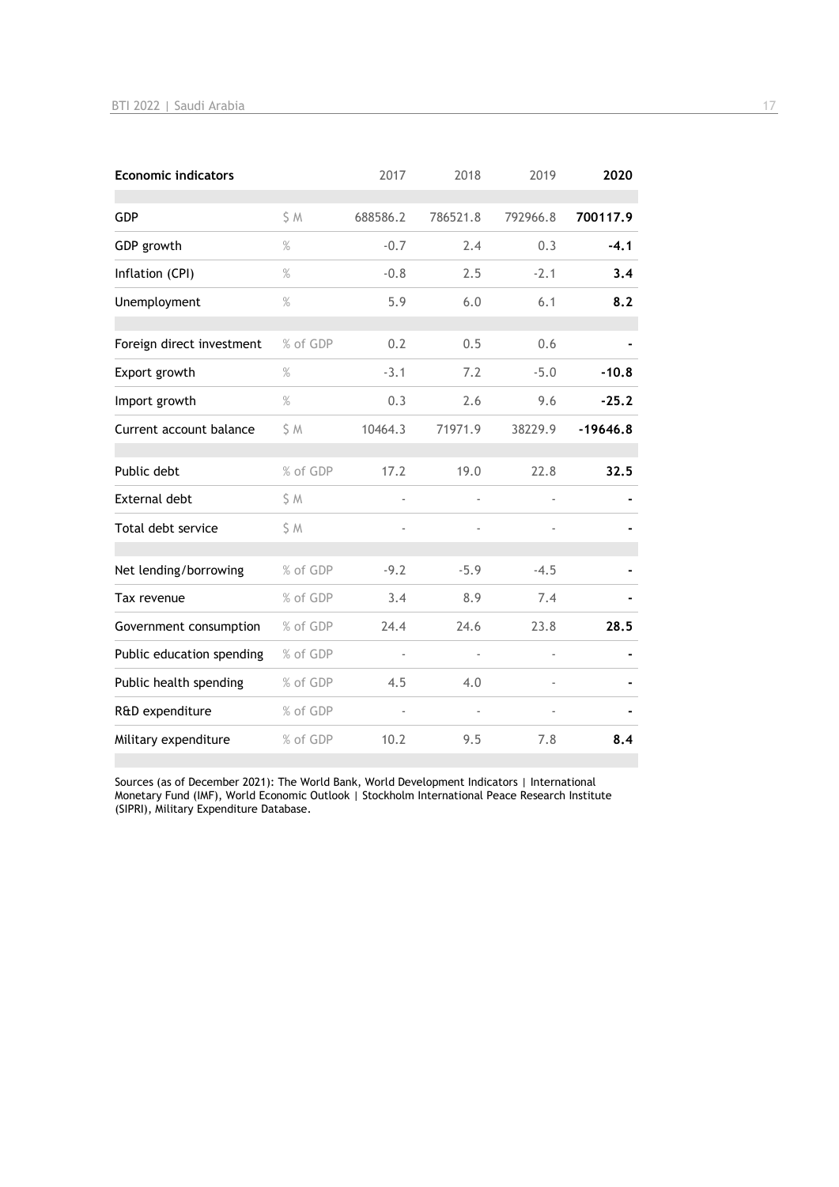| <b>Economic indicators</b> |               | 2017     | 2018     | 2019          | 2020       |
|----------------------------|---------------|----------|----------|---------------|------------|
| <b>GDP</b>                 | \$ M          | 688586.2 | 786521.8 | 792966.8      | 700117.9   |
| GDP growth                 | $\%$          | $-0.7$   | 2.4      | 0.3           | $-4.1$     |
| Inflation (CPI)            | $\%$          | $-0.8$   | 2.5      | $-2.1$        | 3,4        |
| Unemployment               | $\frac{9}{6}$ | 5.9      | 6.0      | 6.1           | 8.2        |
| Foreign direct investment  | % of GDP      | 0.2      | 0.5      | 0.6           |            |
| Export growth              | $\%$          | $-3.1$   | 7.2      | $-5.0$        | $-10.8$    |
| Import growth              | $\%$          | 0.3      | 2.6      | 9.6           | $-25.2$    |
| Current account balance    | \$ M          | 10464.3  | 71971.9  | 38229.9       | $-19646.8$ |
| Public debt                | % of GDP      | 17.2     | 19.0     | 22.8          | 32.5       |
| <b>External debt</b>       | \$ M          | ÷,       |          | $\frac{1}{2}$ |            |
| Total debt service         | \$ M          | ÷,       |          |               |            |
| Net lending/borrowing      | % of GDP      | $-9.2$   | $-5.9$   | $-4.5$        |            |
| Tax revenue                | % of GDP      | 3.4      | 8.9      | 7.4           |            |
| Government consumption     | % of GDP      | 24.4     | 24.6     | 23.8          | 28.5       |
| Public education spending  | % of GDP      | ÷,       |          | ä,            |            |
| Public health spending     | % of GDP      | 4.5      | 4.0      |               |            |
| R&D expenditure            | % of GDP      |          |          |               |            |
| Military expenditure       | % of GDP      | 10.2     | 9.5      | 7.8           | 8.4        |

Sources (as of December 2021): The World Bank, World Development Indicators | International Monetary Fund (IMF), World Economic Outlook | Stockholm International Peace Research Institute (SIPRI), Military Expenditure Database.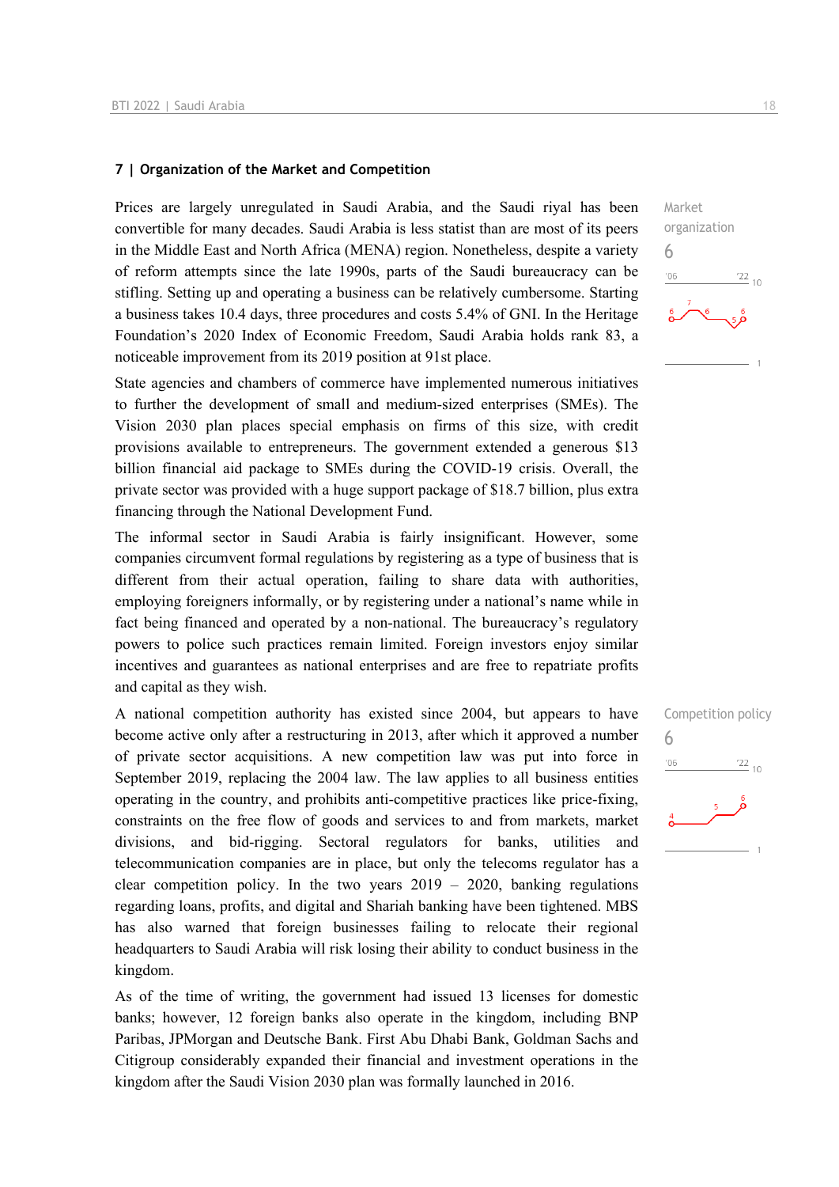#### **7 | Organization of the Market and Competition**

Prices are largely unregulated in Saudi Arabia, and the Saudi riyal has been convertible for many decades. Saudi Arabia is less statist than are most of its peers in the Middle East and North Africa (MENA) region. Nonetheless, despite a variety of reform attempts since the late 1990s, parts of the Saudi bureaucracy can be stifling. Setting up and operating a business can be relatively cumbersome. Starting a business takes 10.4 days, three procedures and costs 5.4% of GNI. In the Heritage Foundation's 2020 Index of Economic Freedom, Saudi Arabia holds rank 83, a noticeable improvement from its 2019 position at 91st place.

State agencies and chambers of commerce have implemented numerous initiatives to further the development of small and medium-sized enterprises (SMEs). The Vision 2030 plan places special emphasis on firms of this size, with credit provisions available to entrepreneurs. The government extended a generous \$13 billion financial aid package to SMEs during the COVID-19 crisis. Overall, the private sector was provided with a huge support package of \$18.7 billion, plus extra financing through the National Development Fund.

The informal sector in Saudi Arabia is fairly insignificant. However, some companies circumvent formal regulations by registering as a type of business that is different from their actual operation, failing to share data with authorities, employing foreigners informally, or by registering under a national's name while in fact being financed and operated by a non-national. The bureaucracy's regulatory powers to police such practices remain limited. Foreign investors enjoy similar incentives and guarantees as national enterprises and are free to repatriate profits and capital as they wish.

A national competition authority has existed since 2004, but appears to have become active only after a restructuring in 2013, after which it approved a number of private sector acquisitions. A new competition law was put into force in September 2019, replacing the 2004 law. The law applies to all business entities operating in the country, and prohibits anti-competitive practices like price-fixing, constraints on the free flow of goods and services to and from markets, market divisions, and bid-rigging. Sectoral regulators for banks, utilities and telecommunication companies are in place, but only the telecoms regulator has a clear competition policy. In the two years  $2019 - 2020$ , banking regulations regarding loans, profits, and digital and Shariah banking have been tightened. MBS has also warned that foreign businesses failing to relocate their regional headquarters to Saudi Arabia will risk losing their ability to conduct business in the kingdom.

As of the time of writing, the government had issued 13 licenses for domestic banks; however, 12 foreign banks also operate in the kingdom, including BNP Paribas, JPMorgan and Deutsche Bank. First Abu Dhabi Bank, Goldman Sachs and Citigroup considerably expanded their financial and investment operations in the kingdom after the Saudi Vision 2030 plan was formally launched in 2016.



Competition policy 6 $-06$  $\frac{22}{10}$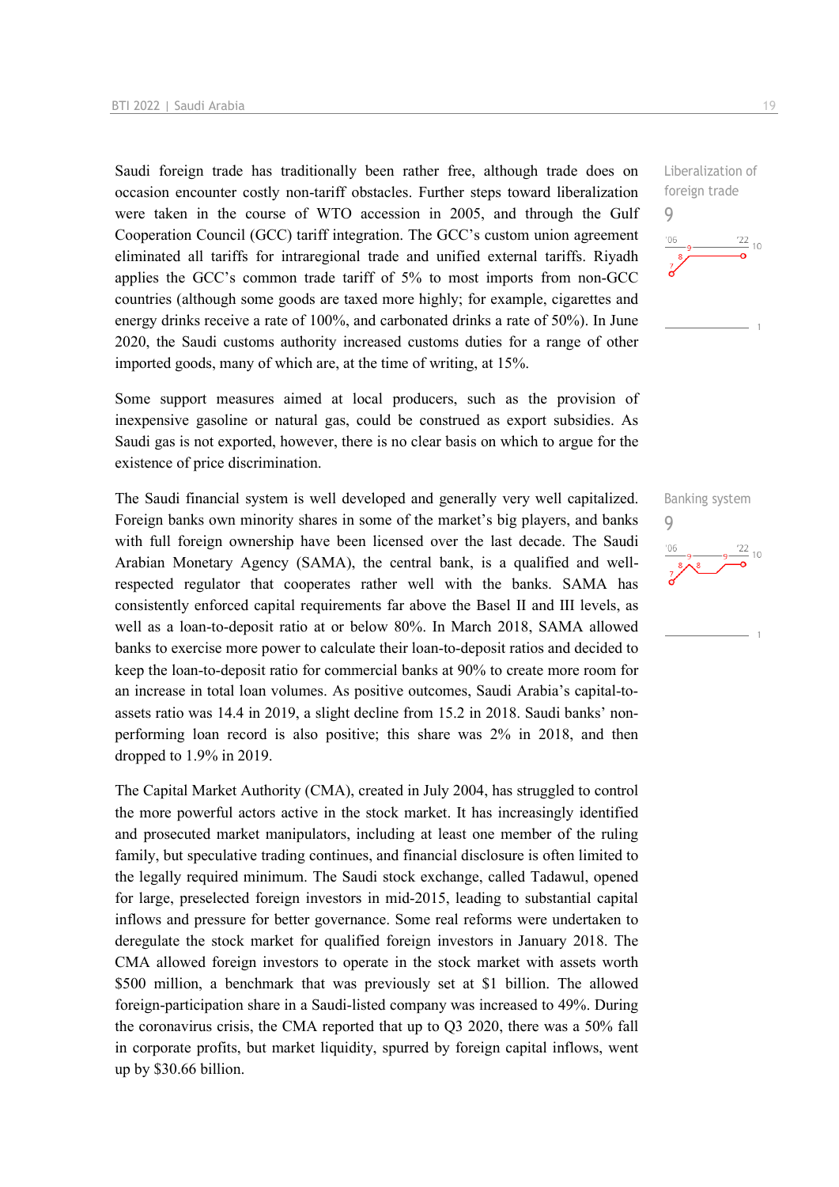Saudi foreign trade has traditionally been rather free, although trade does on occasion encounter costly non-tariff obstacles. Further steps toward liberalization were taken in the course of WTO accession in 2005, and through the Gulf Cooperation Council (GCC) tariff integration. The GCC's custom union agreement eliminated all tariffs for intraregional trade and unified external tariffs. Riyadh applies the GCC's common trade tariff of 5% to most imports from non-GCC countries (although some goods are taxed more highly; for example, cigarettes and energy drinks receive a rate of 100%, and carbonated drinks a rate of 50%). In June 2020, the Saudi customs authority increased customs duties for a range of other imported goods, many of which are, at the time of writing, at 15%.

Some support measures aimed at local producers, such as the provision of inexpensive gasoline or natural gas, could be construed as export subsidies. As Saudi gas is not exported, however, there is no clear basis on which to argue for the existence of price discrimination.

The Saudi financial system is well developed and generally very well capitalized. Foreign banks own minority shares in some of the market's big players, and banks with full foreign ownership have been licensed over the last decade. The Saudi Arabian Monetary Agency (SAMA), the central bank, is a qualified and wellrespected regulator that cooperates rather well with the banks. SAMA has consistently enforced capital requirements far above the Basel II and III levels, as well as a loan-to-deposit ratio at or below 80%. In March 2018, SAMA allowed banks to exercise more power to calculate their loan-to-deposit ratios and decided to keep the loan-to-deposit ratio for commercial banks at 90% to create more room for an increase in total loan volumes. As positive outcomes, Saudi Arabia's capital-toassets ratio was 14.4 in 2019, a slight decline from 15.2 in 2018. Saudi banks' nonperforming loan record is also positive; this share was 2% in 2018, and then dropped to 1.9% in 2019.

The Capital Market Authority (CMA), created in July 2004, has struggled to control the more powerful actors active in the stock market. It has increasingly identified and prosecuted market manipulators, including at least one member of the ruling family, but speculative trading continues, and financial disclosure is often limited to the legally required minimum. The Saudi stock exchange, called Tadawul, opened for large, preselected foreign investors in mid-2015, leading to substantial capital inflows and pressure for better governance. Some real reforms were undertaken to deregulate the stock market for qualified foreign investors in January 2018. The CMA allowed foreign investors to operate in the stock market with assets worth \$500 million, a benchmark that was previously set at \$1 billion. The allowed foreign-participation share in a Saudi-listed company was increased to 49%. During the coronavirus crisis, the CMA reported that up to Q3 2020, there was a 50% fall in corporate profits, but market liquidity, spurred by foreign capital inflows, went up by \$30.66 billion.

Liberalization of foreign trade 9  $\frac{22}{10}$ 

Banking system 9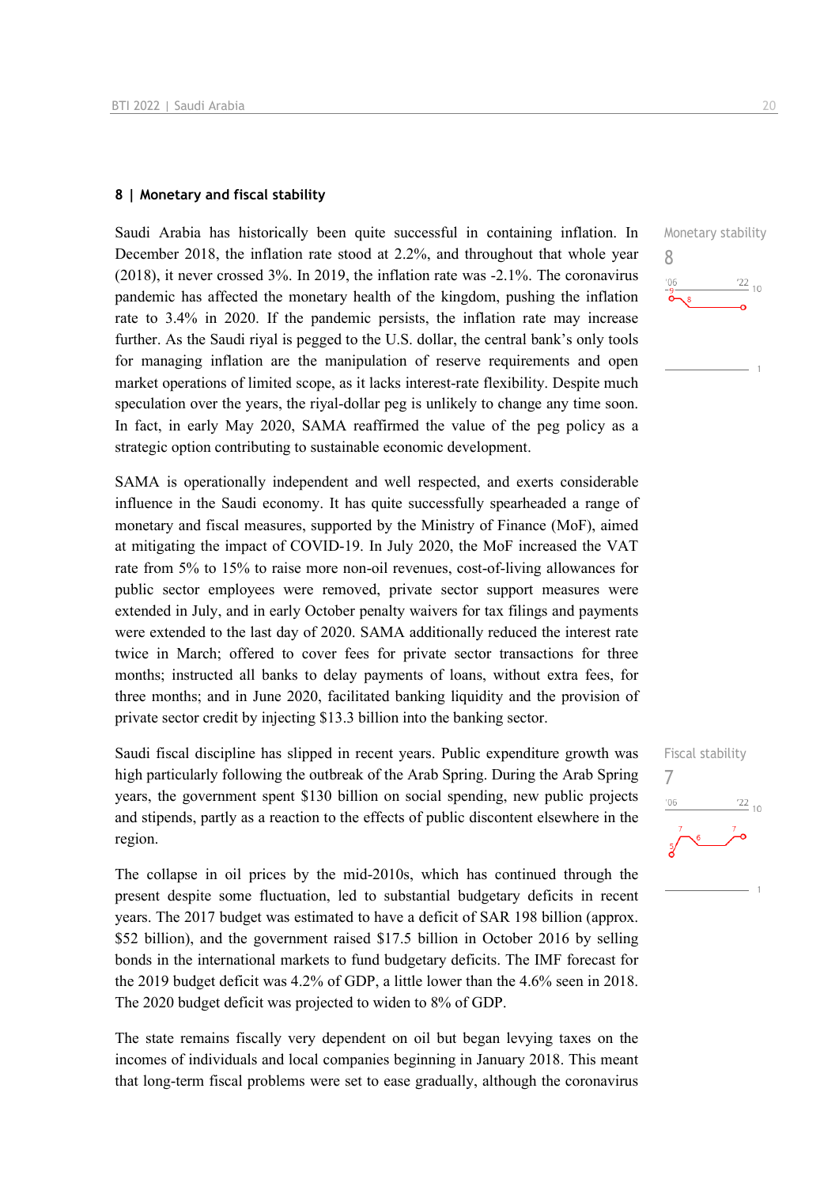#### **8 | Monetary and fiscal stability**

Saudi Arabia has historically been quite successful in containing inflation. In December 2018, the inflation rate stood at 2.2%, and throughout that whole year (2018), it never crossed 3%. In 2019, the inflation rate was -2.1%. The coronavirus pandemic has affected the monetary health of the kingdom, pushing the inflation rate to 3.4% in 2020. If the pandemic persists, the inflation rate may increase further. As the Saudi riyal is pegged to the U.S. dollar, the central bank's only tools for managing inflation are the manipulation of reserve requirements and open market operations of limited scope, as it lacks interest-rate flexibility. Despite much speculation over the years, the riyal-dollar peg is unlikely to change any time soon. In fact, in early May 2020, SAMA reaffirmed the value of the peg policy as a strategic option contributing to sustainable economic development.

SAMA is operationally independent and well respected, and exerts considerable influence in the Saudi economy. It has quite successfully spearheaded a range of monetary and fiscal measures, supported by the Ministry of Finance (MoF), aimed at mitigating the impact of COVID-19. In July 2020, the MoF increased the VAT rate from 5% to 15% to raise more non-oil revenues, cost-of-living allowances for public sector employees were removed, private sector support measures were extended in July, and in early October penalty waivers for tax filings and payments were extended to the last day of 2020. SAMA additionally reduced the interest rate twice in March; offered to cover fees for private sector transactions for three months; instructed all banks to delay payments of loans, without extra fees, for three months; and in June 2020, facilitated banking liquidity and the provision of private sector credit by injecting \$13.3 billion into the banking sector.

Saudi fiscal discipline has slipped in recent years. Public expenditure growth was high particularly following the outbreak of the Arab Spring. During the Arab Spring years, the government spent \$130 billion on social spending, new public projects and stipends, partly as a reaction to the effects of public discontent elsewhere in the region.

The collapse in oil prices by the mid-2010s, which has continued through the present despite some fluctuation, led to substantial budgetary deficits in recent years. The 2017 budget was estimated to have a deficit of SAR 198 billion (approx. \$52 billion), and the government raised \$17.5 billion in October 2016 by selling bonds in the international markets to fund budgetary deficits. The IMF forecast for the 2019 budget deficit was 4.2% of GDP, a little lower than the 4.6% seen in 2018. The 2020 budget deficit was projected to widen to 8% of GDP.

The state remains fiscally very dependent on oil but began levying taxes on the incomes of individuals and local companies beginning in January 2018. This meant that long-term fiscal problems were set to ease gradually, although the coronavirus



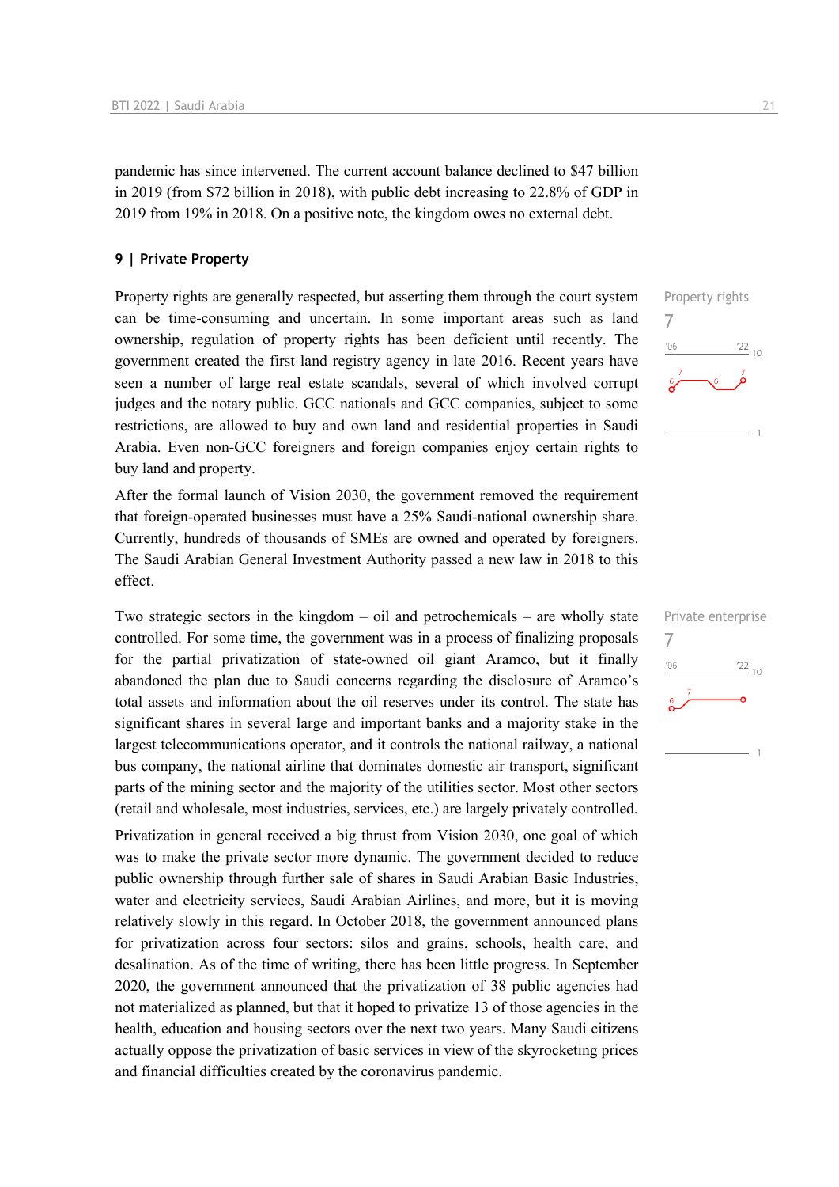pandemic has since intervened. The current account balance declined to \$47 billion in 2019 (from \$72 billion in 2018), with public debt increasing to 22.8% of GDP in 2019 from 19% in 2018. On a positive note, the kingdom owes no external debt.

#### **9 | Private Property**

Property rights are generally respected, but asserting them through the court system can be time-consuming and uncertain. In some important areas such as land ownership, regulation of property rights has been deficient until recently. The government created the first land registry agency in late 2016. Recent years have seen a number of large real estate scandals, several of which involved corrupt judges and the notary public. GCC nationals and GCC companies, subject to some restrictions, are allowed to buy and own land and residential properties in Saudi Arabia. Even non-GCC foreigners and foreign companies enjoy certain rights to buy land and property.

After the formal launch of Vision 2030, the government removed the requirement that foreign-operated businesses must have a 25% Saudi-national ownership share. Currently, hundreds of thousands of SMEs are owned and operated by foreigners. The Saudi Arabian General Investment Authority passed a new law in 2018 to this effect.

Two strategic sectors in the kingdom – oil and petrochemicals – are wholly state controlled. For some time, the government was in a process of finalizing proposals for the partial privatization of state-owned oil giant Aramco, but it finally abandoned the plan due to Saudi concerns regarding the disclosure of Aramco's total assets and information about the oil reserves under its control. The state has significant shares in several large and important banks and a majority stake in the largest telecommunications operator, and it controls the national railway, a national bus company, the national airline that dominates domestic air transport, significant parts of the mining sector and the majority of the utilities sector. Most other sectors (retail and wholesale, most industries, services, etc.) are largely privately controlled.

Privatization in general received a big thrust from Vision 2030, one goal of which was to make the private sector more dynamic. The government decided to reduce public ownership through further sale of shares in Saudi Arabian Basic Industries, water and electricity services, Saudi Arabian Airlines, and more, but it is moving relatively slowly in this regard. In October 2018, the government announced plans for privatization across four sectors: silos and grains, schools, health care, and desalination. As of the time of writing, there has been little progress. In September 2020, the government announced that the privatization of 38 public agencies had not materialized as planned, but that it hoped to privatize 13 of those agencies in the health, education and housing sectors over the next two years. Many Saudi citizens actually oppose the privatization of basic services in view of the skyrocketing prices and financial difficulties created by the coronavirus pandemic.



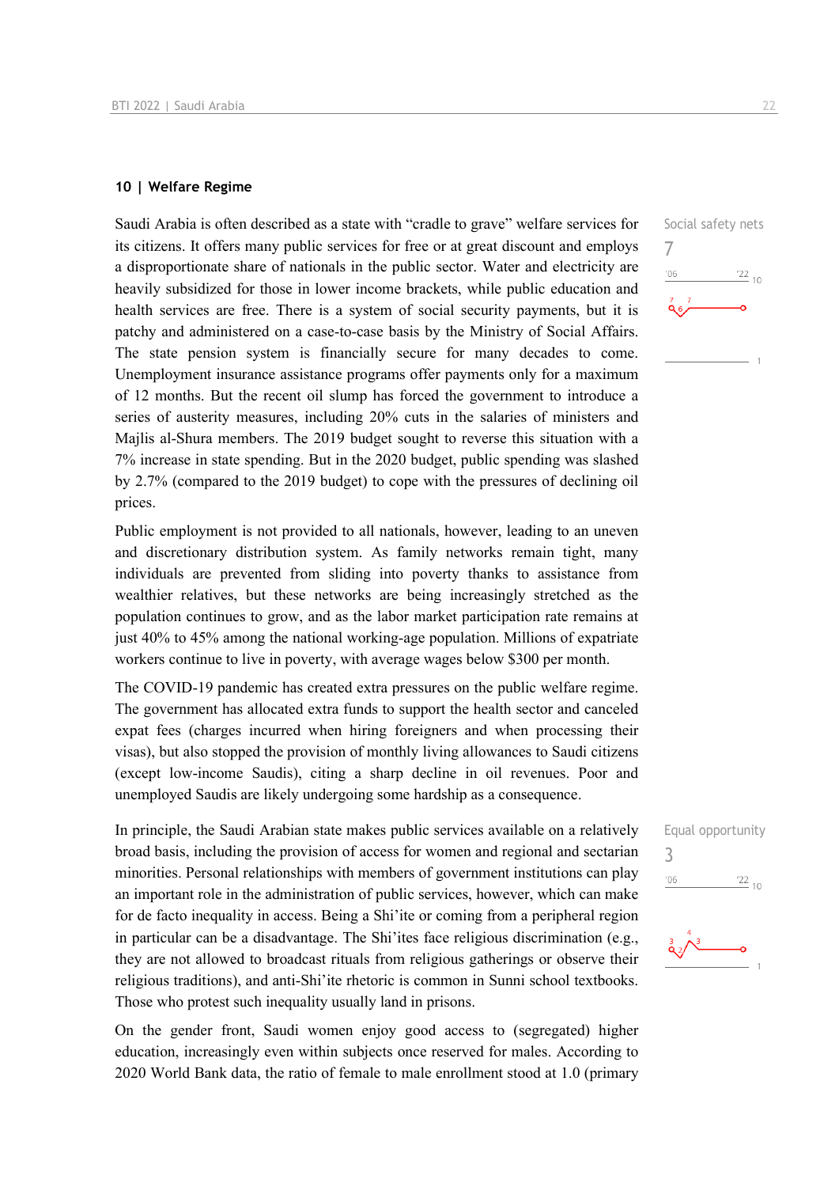#### **10 | Welfare Regime**

Saudi Arabia is often described as a state with "cradle to grave" welfare services for its citizens. It offers many public services for free or at great discount and employs a disproportionate share of nationals in the public sector. Water and electricity are heavily subsidized for those in lower income brackets, while public education and health services are free. There is a system of social security payments, but it is patchy and administered on a case-to-case basis by the Ministry of Social Affairs. The state pension system is financially secure for many decades to come. Unemployment insurance assistance programs offer payments only for a maximum of 12 months. But the recent oil slump has forced the government to introduce a series of austerity measures, including 20% cuts in the salaries of ministers and Majlis al-Shura members. The 2019 budget sought to reverse this situation with a 7% increase in state spending. But in the 2020 budget, public spending was slashed by 2.7% (compared to the 2019 budget) to cope with the pressures of declining oil prices.

Public employment is not provided to all nationals, however, leading to an uneven and discretionary distribution system. As family networks remain tight, many individuals are prevented from sliding into poverty thanks to assistance from wealthier relatives, but these networks are being increasingly stretched as the population continues to grow, and as the labor market participation rate remains at just 40% to 45% among the national working-age population. Millions of expatriate workers continue to live in poverty, with average wages below \$300 per month.

The COVID-19 pandemic has created extra pressures on the public welfare regime. The government has allocated extra funds to support the health sector and canceled expat fees (charges incurred when hiring foreigners and when processing their visas), but also stopped the provision of monthly living allowances to Saudi citizens (except low-income Saudis), citing a sharp decline in oil revenues. Poor and unemployed Saudis are likely undergoing some hardship as a consequence.

In principle, the Saudi Arabian state makes public services available on a relatively broad basis, including the provision of access for women and regional and sectarian minorities. Personal relationships with members of government institutions can play an important role in the administration of public services, however, which can make for de facto inequality in access. Being a Shi'ite or coming from a peripheral region in particular can be a disadvantage. The Shi'ites face religious discrimination (e.g., they are not allowed to broadcast rituals from religious gatherings or observe their religious traditions), and anti-Shi'ite rhetoric is common in Sunni school textbooks. Those who protest such inequality usually land in prisons.

On the gender front, Saudi women enjoy good access to (segregated) higher education, increasingly even within subjects once reserved for males. According to 2020 World Bank data, the ratio of female to male enrollment stood at 1.0 (primary





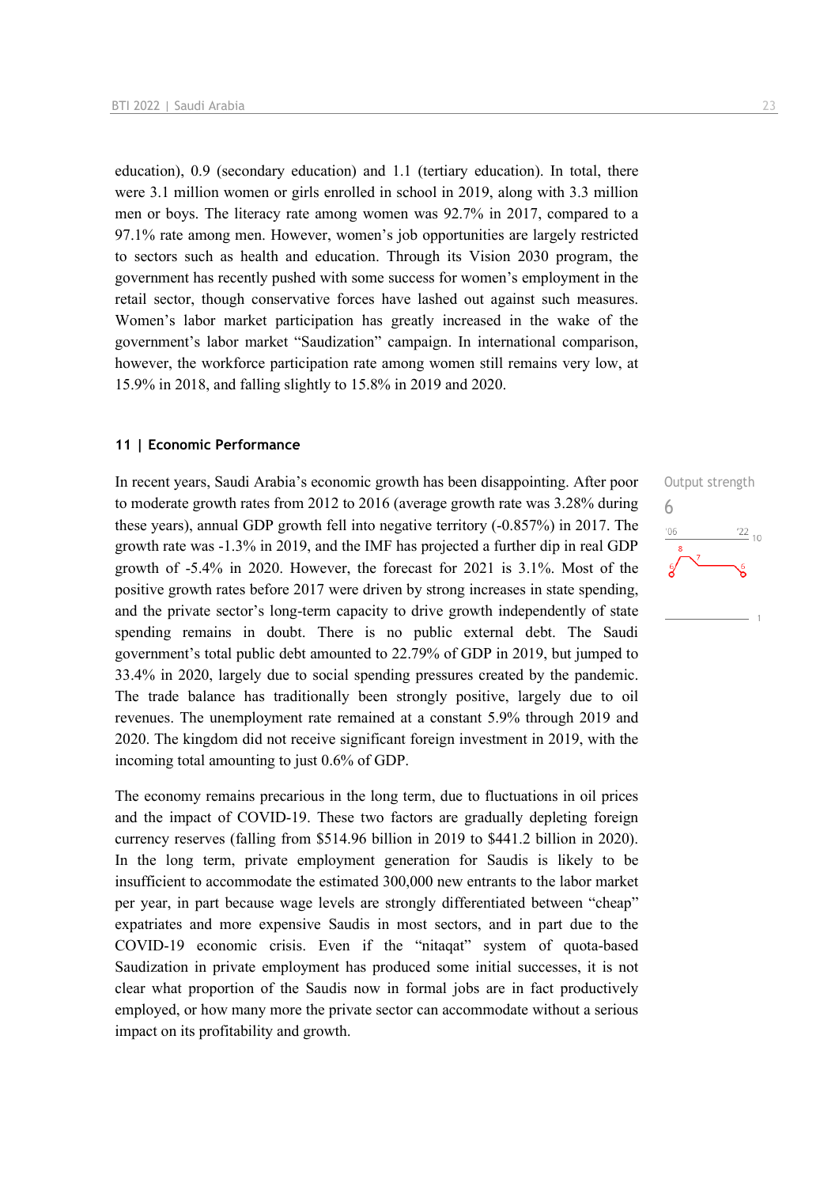education), 0.9 (secondary education) and 1.1 (tertiary education). In total, there were 3.1 million women or girls enrolled in school in 2019, along with 3.3 million men or boys. The literacy rate among women was 92.7% in 2017, compared to a 97.1% rate among men. However, women's job opportunities are largely restricted to sectors such as health and education. Through its Vision 2030 program, the government has recently pushed with some success for women's employment in the retail sector, though conservative forces have lashed out against such measures. Women's labor market participation has greatly increased in the wake of the government's labor market "Saudization" campaign. In international comparison, however, the workforce participation rate among women still remains very low, at 15.9% in 2018, and falling slightly to 15.8% in 2019 and 2020.

#### **11 | Economic Performance**

In recent years, Saudi Arabia's economic growth has been disappointing. After poor to moderate growth rates from 2012 to 2016 (average growth rate was 3.28% during these years), annual GDP growth fell into negative territory (-0.857%) in 2017. The growth rate was -1.3% in 2019, and the IMF has projected a further dip in real GDP growth of -5.4% in 2020. However, the forecast for 2021 is 3.1%. Most of the positive growth rates before 2017 were driven by strong increases in state spending, and the private sector's long-term capacity to drive growth independently of state spending remains in doubt. There is no public external debt. The Saudi government's total public debt amounted to 22.79% of GDP in 2019, but jumped to 33.4% in 2020, largely due to social spending pressures created by the pandemic. The trade balance has traditionally been strongly positive, largely due to oil revenues. The unemployment rate remained at a constant 5.9% through 2019 and 2020. The kingdom did not receive significant foreign investment in 2019, with the incoming total amounting to just 0.6% of GDP.

The economy remains precarious in the long term, due to fluctuations in oil prices and the impact of COVID-19. These two factors are gradually depleting foreign currency reserves (falling from \$514.96 billion in 2019 to \$441.2 billion in 2020). In the long term, private employment generation for Saudis is likely to be insufficient to accommodate the estimated 300,000 new entrants to the labor market per year, in part because wage levels are strongly differentiated between "cheap" expatriates and more expensive Saudis in most sectors, and in part due to the COVID-19 economic crisis. Even if the "nitaqat" system of quota-based Saudization in private employment has produced some initial successes, it is not clear what proportion of the Saudis now in formal jobs are in fact productively employed, or how many more the private sector can accommodate without a serious impact on its profitability and growth.

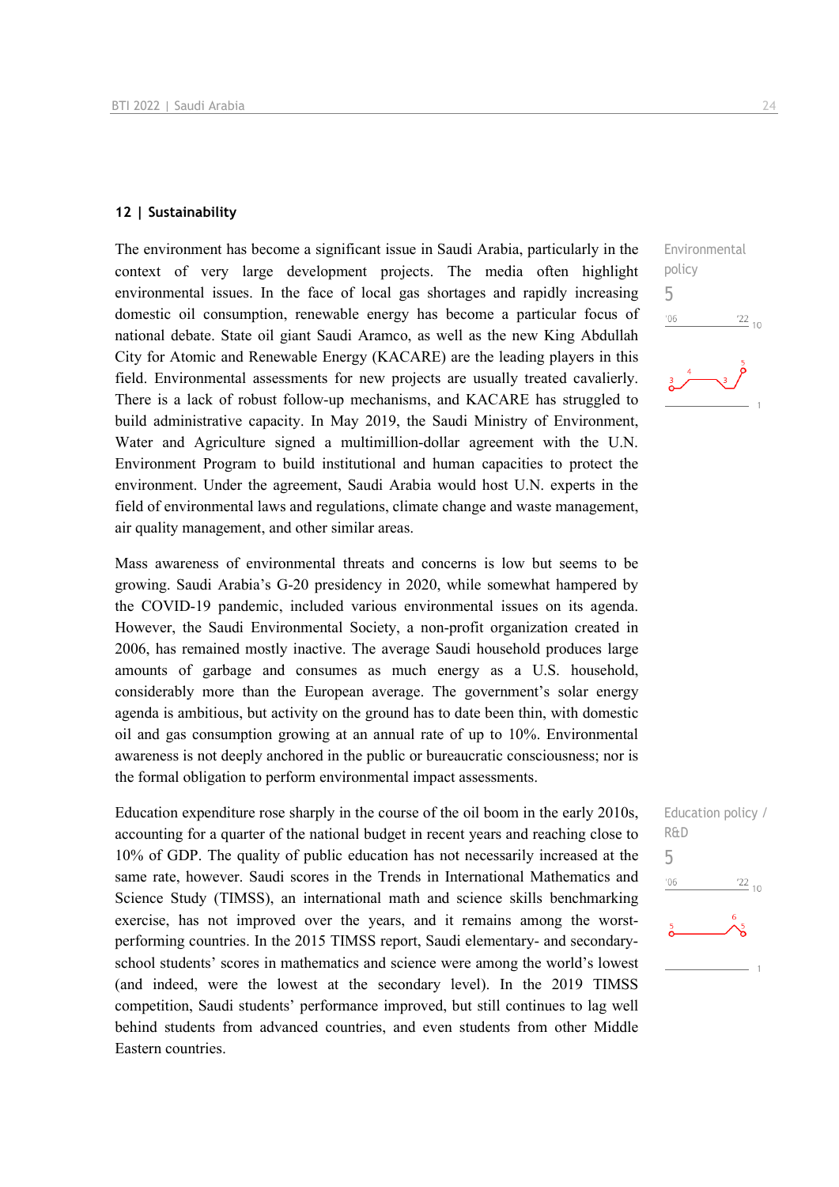#### **12 | Sustainability**

The environment has become a significant issue in Saudi Arabia, particularly in the context of very large development projects. The media often highlight environmental issues. In the face of local gas shortages and rapidly increasing domestic oil consumption, renewable energy has become a particular focus of national debate. State oil giant Saudi Aramco, as well as the new King Abdullah City for Atomic and Renewable Energy (KACARE) are the leading players in this field. Environmental assessments for new projects are usually treated cavalierly. There is a lack of robust follow-up mechanisms, and KACARE has struggled to build administrative capacity. In May 2019, the Saudi Ministry of Environment, Water and Agriculture signed a multimillion-dollar agreement with the U.N. Environment Program to build institutional and human capacities to protect the environment. Under the agreement, Saudi Arabia would host U.N. experts in the field of environmental laws and regulations, climate change and waste management, air quality management, and other similar areas.

Mass awareness of environmental threats and concerns is low but seems to be growing. Saudi Arabia's G-20 presidency in 2020, while somewhat hampered by the COVID-19 pandemic, included various environmental issues on its agenda. However, the Saudi Environmental Society, a non-profit organization created in 2006, has remained mostly inactive. The average Saudi household produces large amounts of garbage and consumes as much energy as a U.S. household, considerably more than the European average. The government's solar energy agenda is ambitious, but activity on the ground has to date been thin, with domestic oil and gas consumption growing at an annual rate of up to 10%. Environmental awareness is not deeply anchored in the public or bureaucratic consciousness; nor is the formal obligation to perform environmental impact assessments.

Education expenditure rose sharply in the course of the oil boom in the early 2010s, accounting for a quarter of the national budget in recent years and reaching close to 10% of GDP. The quality of public education has not necessarily increased at the same rate, however. Saudi scores in the Trends in International Mathematics and Science Study (TIMSS), an international math and science skills benchmarking exercise, has not improved over the years, and it remains among the worstperforming countries. In the 2015 TIMSS report, Saudi elementary- and secondaryschool students' scores in mathematics and science were among the world's lowest (and indeed, were the lowest at the secondary level). In the 2019 TIMSS competition, Saudi students' performance improved, but still continues to lag well behind students from advanced countries, and even students from other Middle Eastern countries.



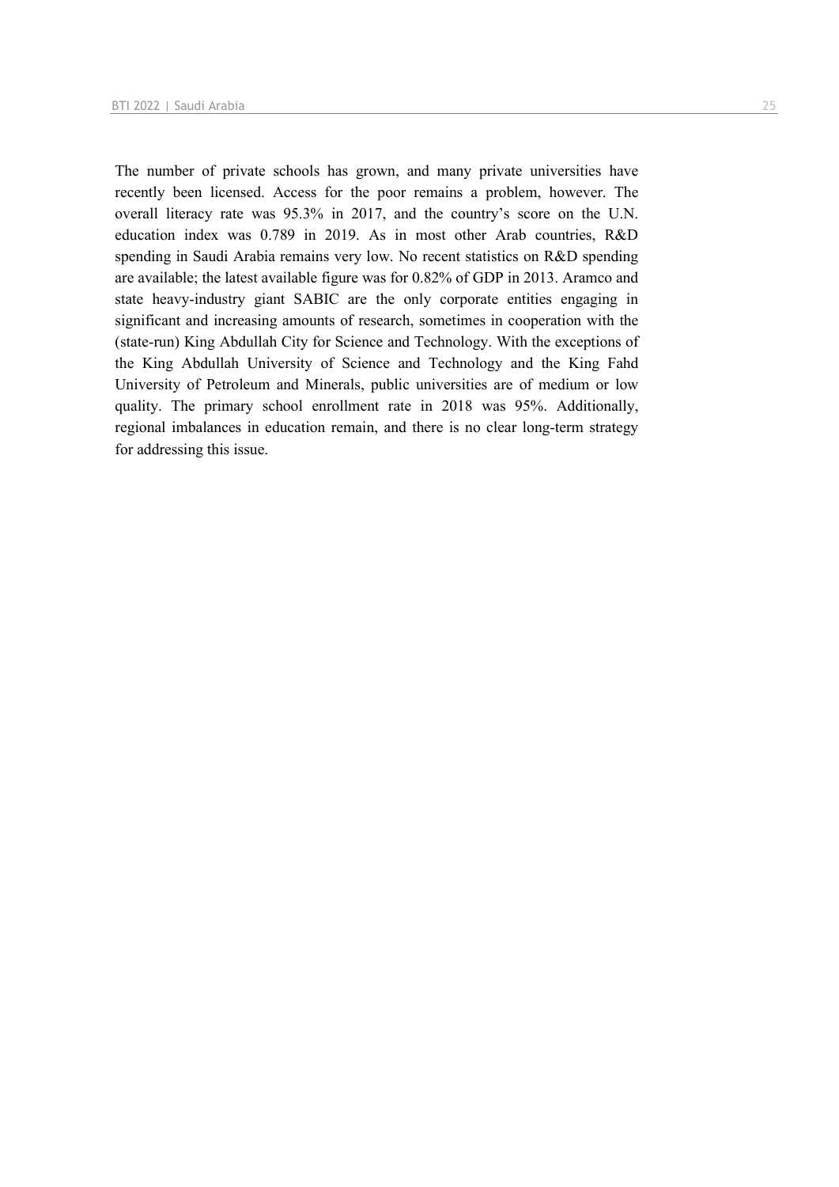The number of private schools has grown, and many private universities have recently been licensed. Access for the poor remains a problem, however. The overall literacy rate was 95.3% in 2017, and the country's score on the U.N. education index was 0.789 in 2019. As in most other Arab countries, R&D spending in Saudi Arabia remains very low. No recent statistics on R&D spending are available; the latest available figure was for 0.82% of GDP in 2013. Aramco and state heavy-industry giant SABIC are the only corporate entities engaging in significant and increasing amounts of research, sometimes in cooperation with the (state-run) King Abdullah City for Science and Technology. With the exceptions of the King Abdullah University of Science and Technology and the King Fahd University of Petroleum and Minerals, public universities are of medium or low quality. The primary school enrollment rate in 2018 was 95%. Additionally, regional imbalances in education remain, and there is no clear long-term strategy for addressing this issue.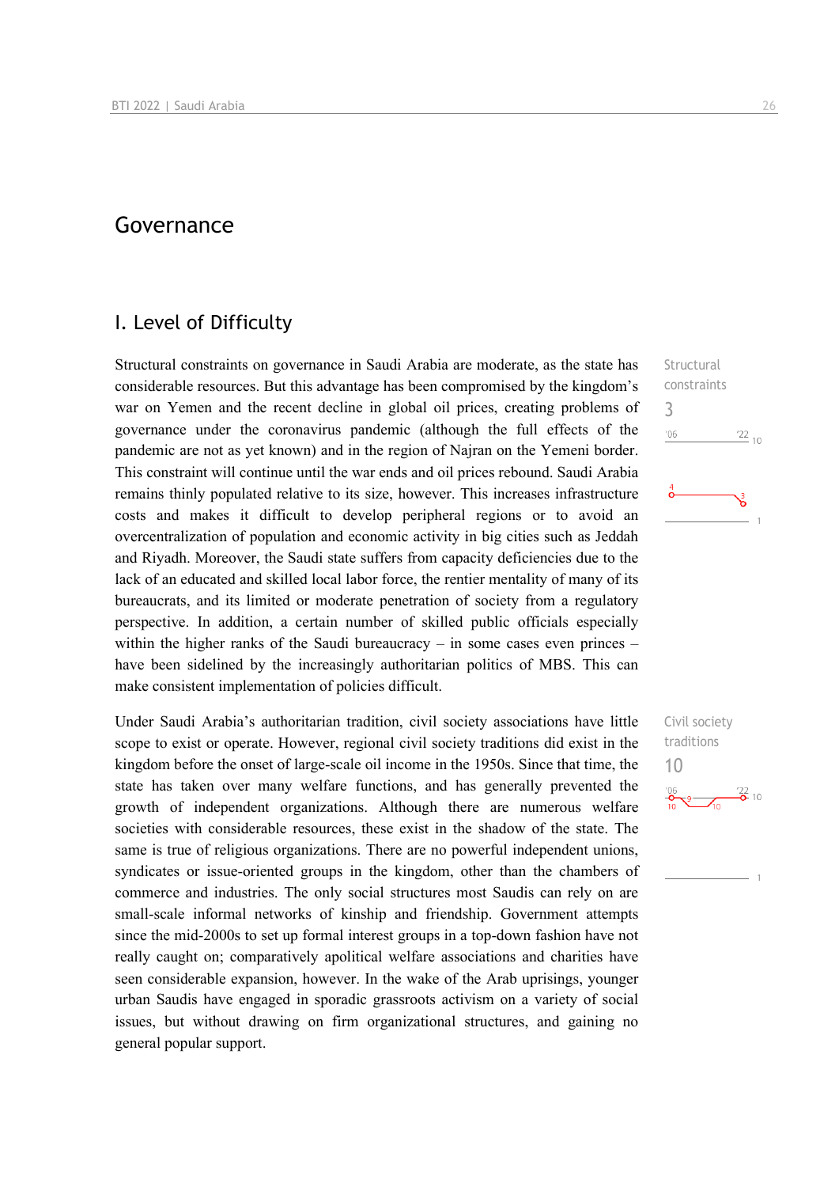## Governance

## I. Level of Difficulty

Structural constraints on governance in Saudi Arabia are moderate, as the state has considerable resources. But this advantage has been compromised by the kingdom's war on Yemen and the recent decline in global oil prices, creating problems of governance under the coronavirus pandemic (although the full effects of the pandemic are not as yet known) and in the region of Najran on the Yemeni border. This constraint will continue until the war ends and oil prices rebound. Saudi Arabia remains thinly populated relative to its size, however. This increases infrastructure costs and makes it difficult to develop peripheral regions or to avoid an overcentralization of population and economic activity in big cities such as Jeddah and Riyadh. Moreover, the Saudi state suffers from capacity deficiencies due to the lack of an educated and skilled local labor force, the rentier mentality of many of its bureaucrats, and its limited or moderate penetration of society from a regulatory perspective. In addition, a certain number of skilled public officials especially within the higher ranks of the Saudi bureaucracy – in some cases even princes – have been sidelined by the increasingly authoritarian politics of MBS. This can make consistent implementation of policies difficult.

Under Saudi Arabia's authoritarian tradition, civil society associations have little scope to exist or operate. However, regional civil society traditions did exist in the kingdom before the onset of large-scale oil income in the 1950s. Since that time, the state has taken over many welfare functions, and has generally prevented the growth of independent organizations. Although there are numerous welfare societies with considerable resources, these exist in the shadow of the state. The same is true of religious organizations. There are no powerful independent unions, syndicates or issue-oriented groups in the kingdom, other than the chambers of commerce and industries. The only social structures most Saudis can rely on are small-scale informal networks of kinship and friendship. Government attempts since the mid-2000s to set up formal interest groups in a top-down fashion have not really caught on; comparatively apolitical welfare associations and charities have seen considerable expansion, however. In the wake of the Arab uprisings, younger urban Saudis have engaged in sporadic grassroots activism on a variety of social issues, but without drawing on firm organizational structures, and gaining no general popular support.

**Structural** constraints 3  $n<sub>6</sub>$  $\frac{22}{10}$ 

Civil society traditions 10 $\frac{22}{2}$  10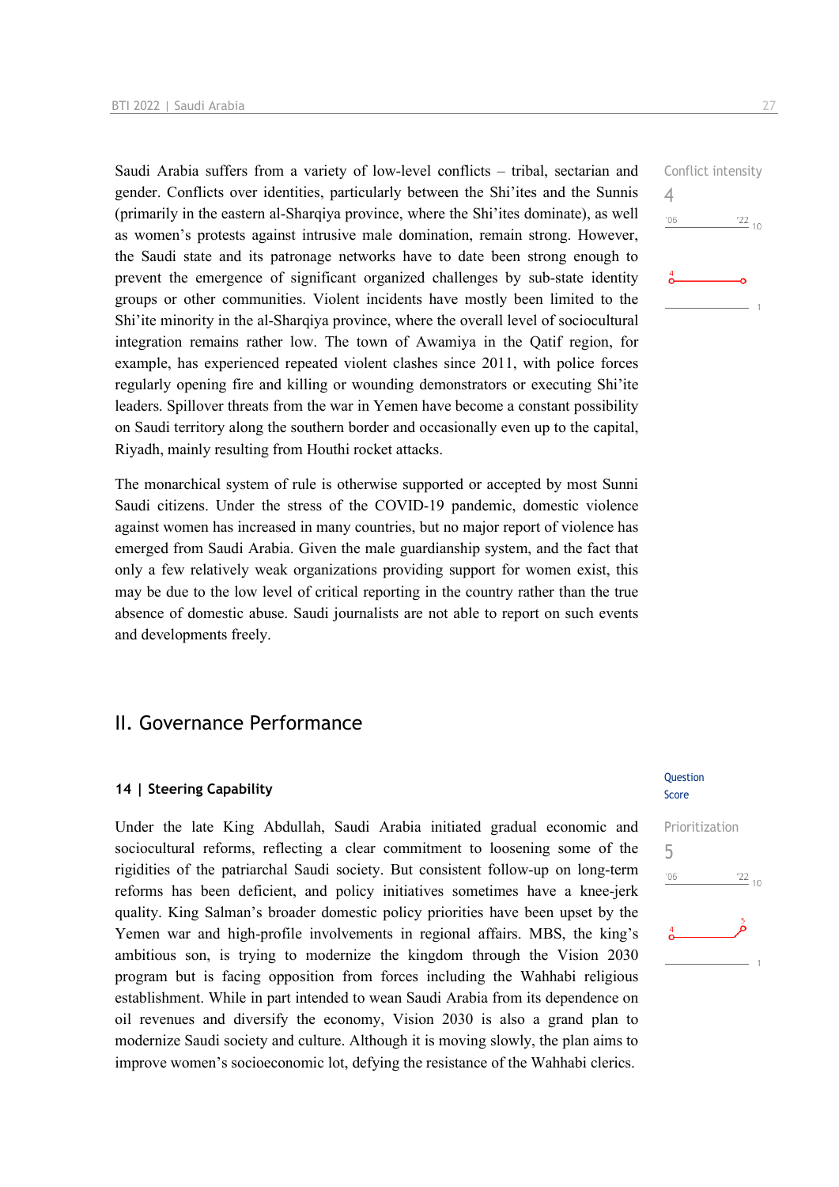Saudi Arabia suffers from a variety of low-level conflicts – tribal, sectarian and gender. Conflicts over identities, particularly between the Shi'ites and the Sunnis (primarily in the eastern al-Sharqiya province, where the Shi'ites dominate), as well as women's protests against intrusive male domination, remain strong. However, the Saudi state and its patronage networks have to date been strong enough to prevent the emergence of significant organized challenges by sub-state identity groups or other communities. Violent incidents have mostly been limited to the Shi'ite minority in the al-Sharqiya province, where the overall level of sociocultural integration remains rather low. The town of Awamiya in the Qatif region, for example, has experienced repeated violent clashes since 2011, with police forces regularly opening fire and killing or wounding demonstrators or executing Shi'ite leaders. Spillover threats from the war in Yemen have become a constant possibility on Saudi territory along the southern border and occasionally even up to the capital, Riyadh, mainly resulting from Houthi rocket attacks.

The monarchical system of rule is otherwise supported or accepted by most Sunni Saudi citizens. Under the stress of the COVID-19 pandemic, domestic violence against women has increased in many countries, but no major report of violence has emerged from Saudi Arabia. Given the male guardianship system, and the fact that only a few relatively weak organizations providing support for women exist, this may be due to the low level of critical reporting in the country rather than the true absence of domestic abuse. Saudi journalists are not able to report on such events and developments freely.

## II. Governance Performance

#### **14 | Steering Capability**

Under the late King Abdullah, Saudi Arabia initiated gradual economic and sociocultural reforms, reflecting a clear commitment to loosening some of the rigidities of the patriarchal Saudi society. But consistent follow-up on long-term reforms has been deficient, and policy initiatives sometimes have a knee-jerk quality. King Salman's broader domestic policy priorities have been upset by the Yemen war and high-profile involvements in regional affairs. MBS, the king's ambitious son, is trying to modernize the kingdom through the Vision 2030 program but is facing opposition from forces including the Wahhabi religious establishment. While in part intended to wean Saudi Arabia from its dependence on oil revenues and diversify the economy, Vision 2030 is also a grand plan to modernize Saudi society and culture. Although it is moving slowly, the plan aims to improve women's socioeconomic lot, defying the resistance of the Wahhabi clerics.

#### **Question** Score

| Prioritization |                 |
|----------------|-----------------|
| 5              |                 |
| '06            | $\frac{22}{10}$ |
| $\overline{4}$ |                 |
|                |                 |

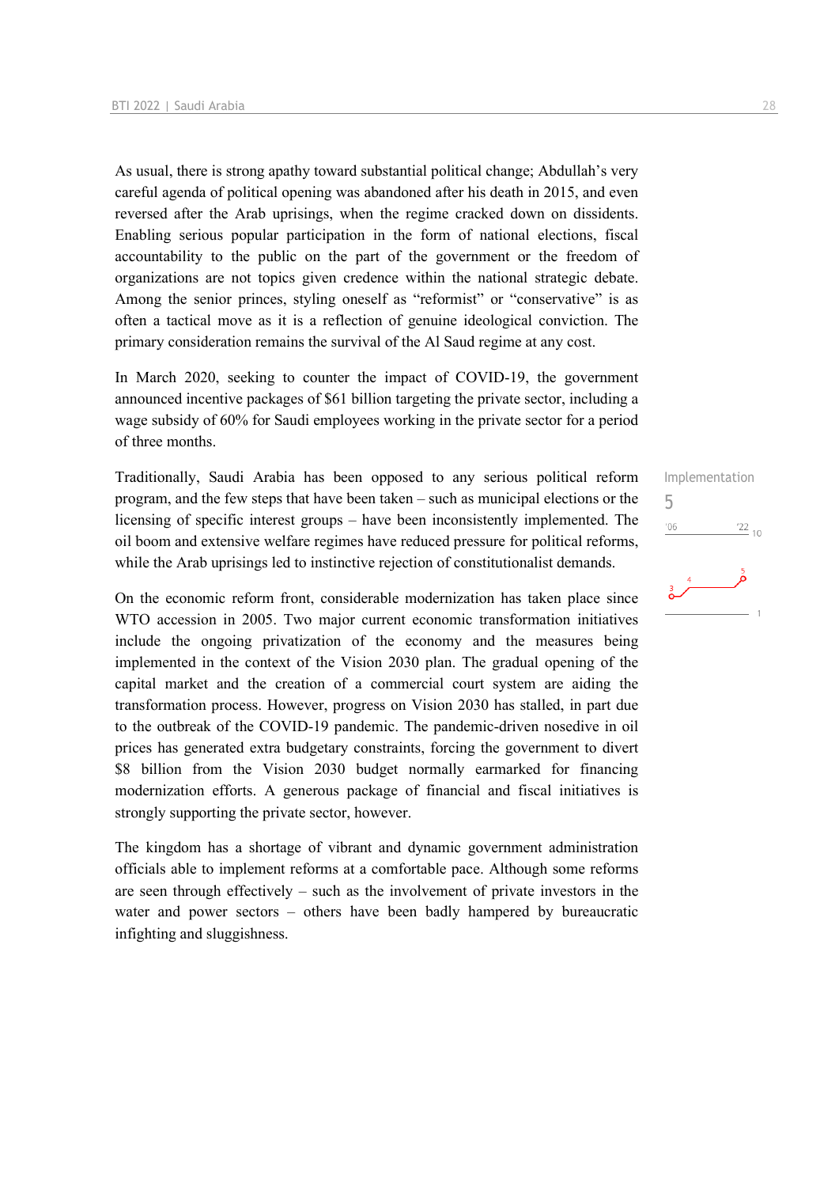As usual, there is strong apathy toward substantial political change; Abdullah's very careful agenda of political opening was abandoned after his death in 2015, and even reversed after the Arab uprisings, when the regime cracked down on dissidents. Enabling serious popular participation in the form of national elections, fiscal accountability to the public on the part of the government or the freedom of organizations are not topics given credence within the national strategic debate. Among the senior princes, styling oneself as "reformist" or "conservative" is as often a tactical move as it is a reflection of genuine ideological conviction. The primary consideration remains the survival of the Al Saud regime at any cost.

In March 2020, seeking to counter the impact of COVID-19, the government announced incentive packages of \$61 billion targeting the private sector, including a wage subsidy of 60% for Saudi employees working in the private sector for a period of three months.

Traditionally, Saudi Arabia has been opposed to any serious political reform program, and the few steps that have been taken – such as municipal elections or the licensing of specific interest groups – have been inconsistently implemented. The oil boom and extensive welfare regimes have reduced pressure for political reforms, while the Arab uprisings led to instinctive rejection of constitutionalist demands.

On the economic reform front, considerable modernization has taken place since WTO accession in 2005. Two major current economic transformation initiatives include the ongoing privatization of the economy and the measures being implemented in the context of the Vision 2030 plan. The gradual opening of the capital market and the creation of a commercial court system are aiding the transformation process. However, progress on Vision 2030 has stalled, in part due to the outbreak of the COVID-19 pandemic. The pandemic-driven nosedive in oil prices has generated extra budgetary constraints, forcing the government to divert \$8 billion from the Vision 2030 budget normally earmarked for financing modernization efforts. A generous package of financial and fiscal initiatives is strongly supporting the private sector, however.

The kingdom has a shortage of vibrant and dynamic government administration officials able to implement reforms at a comfortable pace. Although some reforms are seen through effectively – such as the involvement of private investors in the water and power sectors – others have been badly hampered by bureaucratic infighting and sluggishness.

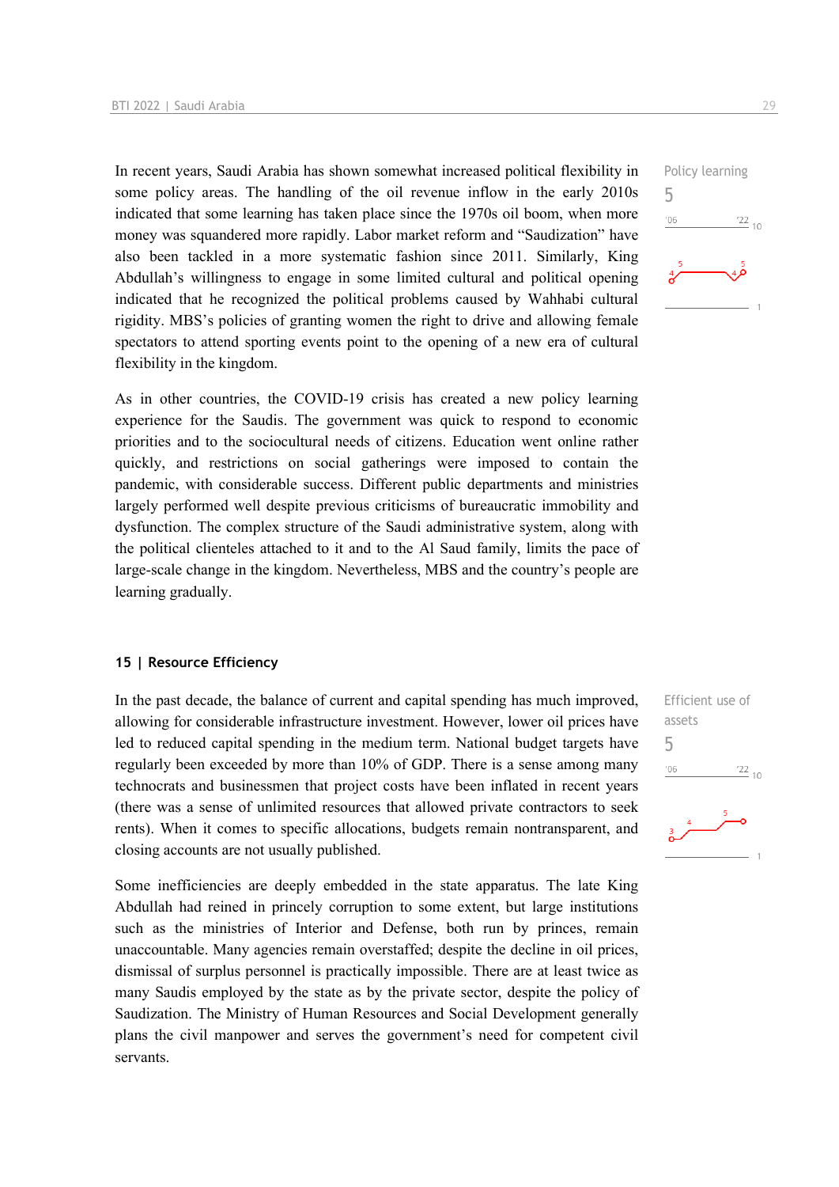In recent years, Saudi Arabia has shown somewhat increased political flexibility in some policy areas. The handling of the oil revenue inflow in the early 2010s indicated that some learning has taken place since the 1970s oil boom, when more money was squandered more rapidly. Labor market reform and "Saudization" have also been tackled in a more systematic fashion since 2011. Similarly, King Abdullah's willingness to engage in some limited cultural and political opening indicated that he recognized the political problems caused by Wahhabi cultural rigidity. MBS's policies of granting women the right to drive and allowing female spectators to attend sporting events point to the opening of a new era of cultural flexibility in the kingdom.

As in other countries, the COVID-19 crisis has created a new policy learning experience for the Saudis. The government was quick to respond to economic priorities and to the sociocultural needs of citizens. Education went online rather quickly, and restrictions on social gatherings were imposed to contain the pandemic, with considerable success. Different public departments and ministries largely performed well despite previous criticisms of bureaucratic immobility and dysfunction. The complex structure of the Saudi administrative system, along with the political clienteles attached to it and to the Al Saud family, limits the pace of large-scale change in the kingdom. Nevertheless, MBS and the country's people are learning gradually.

#### **15 | Resource Efficiency**

In the past decade, the balance of current and capital spending has much improved, allowing for considerable infrastructure investment. However, lower oil prices have led to reduced capital spending in the medium term. National budget targets have regularly been exceeded by more than 10% of GDP. There is a sense among many technocrats and businessmen that project costs have been inflated in recent years (there was a sense of unlimited resources that allowed private contractors to seek rents). When it comes to specific allocations, budgets remain nontransparent, and closing accounts are not usually published.

Some inefficiencies are deeply embedded in the state apparatus. The late King Abdullah had reined in princely corruption to some extent, but large institutions such as the ministries of Interior and Defense, both run by princes, remain unaccountable. Many agencies remain overstaffed; despite the decline in oil prices, dismissal of surplus personnel is practically impossible. There are at least twice as many Saudis employed by the state as by the private sector, despite the policy of Saudization. The Ministry of Human Resources and Social Development generally plans the civil manpower and serves the government's need for competent civil servants.



Efficient use of assets 5 $\frac{22}{10}$  $n<sub>0</sub>$ 

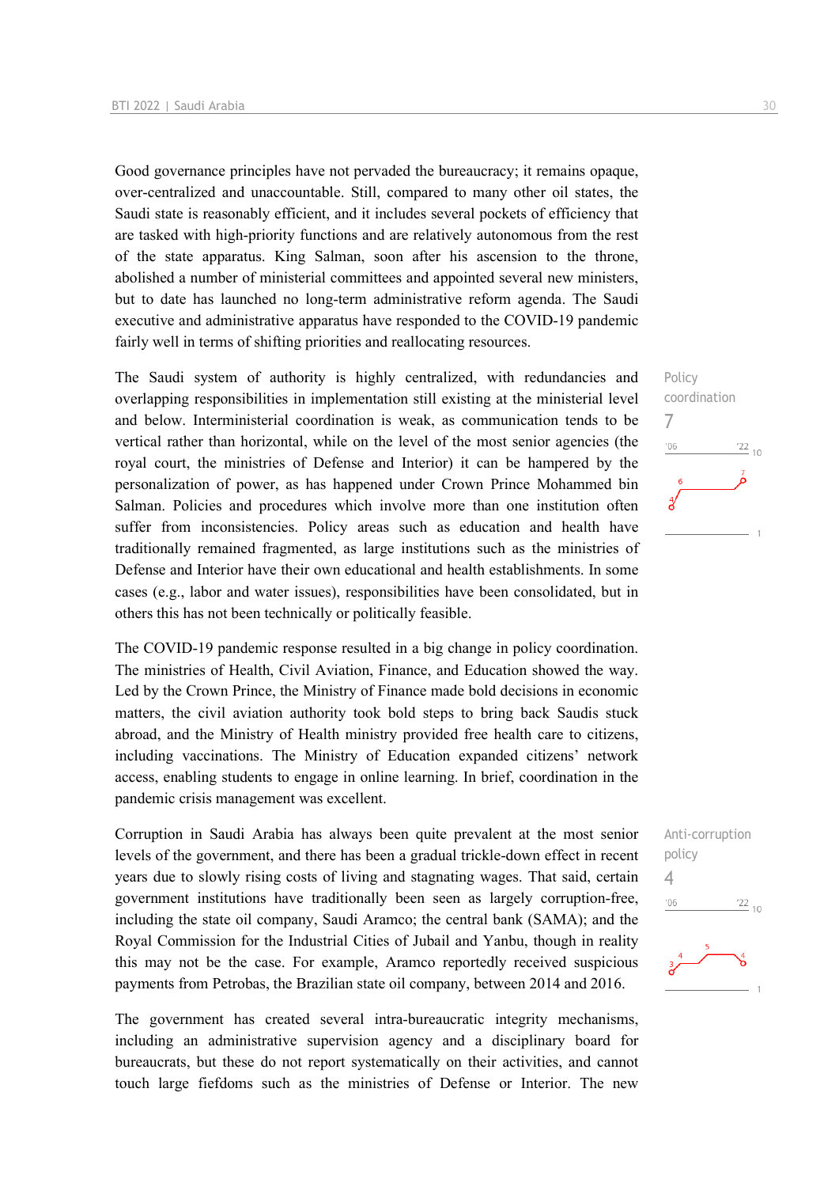Good governance principles have not pervaded the bureaucracy; it remains opaque, over-centralized and unaccountable. Still, compared to many other oil states, the Saudi state is reasonably efficient, and it includes several pockets of efficiency that are tasked with high-priority functions and are relatively autonomous from the rest of the state apparatus. King Salman, soon after his ascension to the throne, abolished a number of ministerial committees and appointed several new ministers, but to date has launched no long-term administrative reform agenda. The Saudi executive and administrative apparatus have responded to the COVID-19 pandemic fairly well in terms of shifting priorities and reallocating resources.

The Saudi system of authority is highly centralized, with redundancies and overlapping responsibilities in implementation still existing at the ministerial level and below. Interministerial coordination is weak, as communication tends to be vertical rather than horizontal, while on the level of the most senior agencies (the royal court, the ministries of Defense and Interior) it can be hampered by the personalization of power, as has happened under Crown Prince Mohammed bin Salman. Policies and procedures which involve more than one institution often suffer from inconsistencies. Policy areas such as education and health have traditionally remained fragmented, as large institutions such as the ministries of Defense and Interior have their own educational and health establishments. In some cases (e.g., labor and water issues), responsibilities have been consolidated, but in others this has not been technically or politically feasible.

The COVID-19 pandemic response resulted in a big change in policy coordination. The ministries of Health, Civil Aviation, Finance, and Education showed the way. Led by the Crown Prince, the Ministry of Finance made bold decisions in economic matters, the civil aviation authority took bold steps to bring back Saudis stuck abroad, and the Ministry of Health ministry provided free health care to citizens, including vaccinations. The Ministry of Education expanded citizens' network access, enabling students to engage in online learning. In brief, coordination in the pandemic crisis management was excellent.

Corruption in Saudi Arabia has always been quite prevalent at the most senior levels of the government, and there has been a gradual trickle-down effect in recent years due to slowly rising costs of living and stagnating wages. That said, certain government institutions have traditionally been seen as largely corruption-free, including the state oil company, Saudi Aramco; the central bank (SAMA); and the Royal Commission for the Industrial Cities of Jubail and Yanbu, though in reality this may not be the case. For example, Aramco reportedly received suspicious payments from Petrobas, the Brazilian state oil company, between 2014 and 2016.

The government has created several intra-bureaucratic integrity mechanisms, including an administrative supervision agency and a disciplinary board for bureaucrats, but these do not report systematically on their activities, and cannot touch large fiefdoms such as the ministries of Defense or Interior. The new



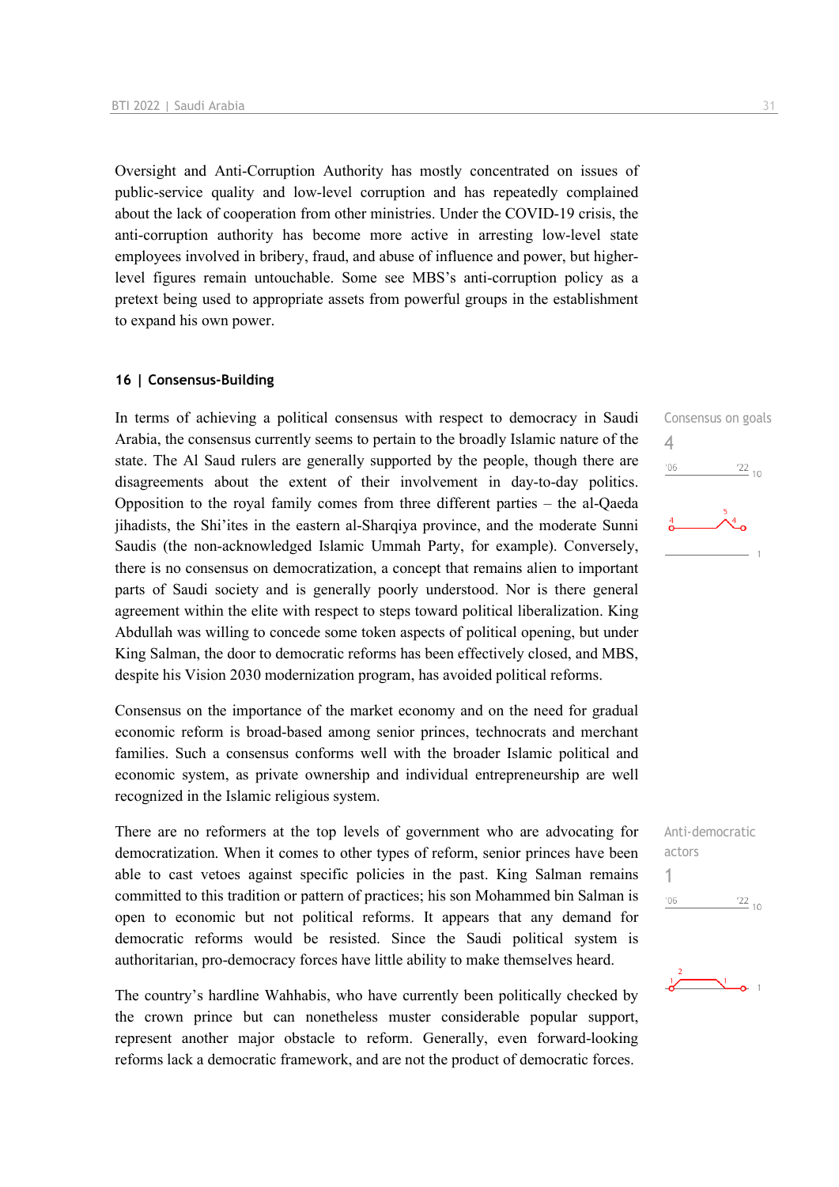Oversight and Anti-Corruption Authority has mostly concentrated on issues of public-service quality and low-level corruption and has repeatedly complained about the lack of cooperation from other ministries. Under the COVID-19 crisis, the anti-corruption authority has become more active in arresting low-level state employees involved in bribery, fraud, and abuse of influence and power, but higherlevel figures remain untouchable. Some see MBS's anti-corruption policy as a pretext being used to appropriate assets from powerful groups in the establishment to expand his own power.

#### **16 | Consensus-Building**

In terms of achieving a political consensus with respect to democracy in Saudi Arabia, the consensus currently seems to pertain to the broadly Islamic nature of the state. The Al Saud rulers are generally supported by the people, though there are disagreements about the extent of their involvement in day-to-day politics. Opposition to the royal family comes from three different parties – the al-Qaeda jihadists, the Shi'ites in the eastern al-Sharqiya province, and the moderate Sunni Saudis (the non-acknowledged Islamic Ummah Party, for example). Conversely, there is no consensus on democratization, a concept that remains alien to important parts of Saudi society and is generally poorly understood. Nor is there general agreement within the elite with respect to steps toward political liberalization. King Abdullah was willing to concede some token aspects of political opening, but under King Salman, the door to democratic reforms has been effectively closed, and MBS, despite his Vision 2030 modernization program, has avoided political reforms.

Consensus on the importance of the market economy and on the need for gradual economic reform is broad-based among senior princes, technocrats and merchant families. Such a consensus conforms well with the broader Islamic political and economic system, as private ownership and individual entrepreneurship are well recognized in the Islamic religious system.

There are no reformers at the top levels of government who are advocating for democratization. When it comes to other types of reform, senior princes have been able to cast vetoes against specific policies in the past. King Salman remains committed to this tradition or pattern of practices; his son Mohammed bin Salman is open to economic but not political reforms. It appears that any demand for democratic reforms would be resisted. Since the Saudi political system is authoritarian, pro-democracy forces have little ability to make themselves heard.

The country's hardline Wahhabis, who have currently been politically checked by the crown prince but can nonetheless muster considerable popular support, represent another major obstacle to reform. Generally, even forward-looking reforms lack a democratic framework, and are not the product of democratic forces.





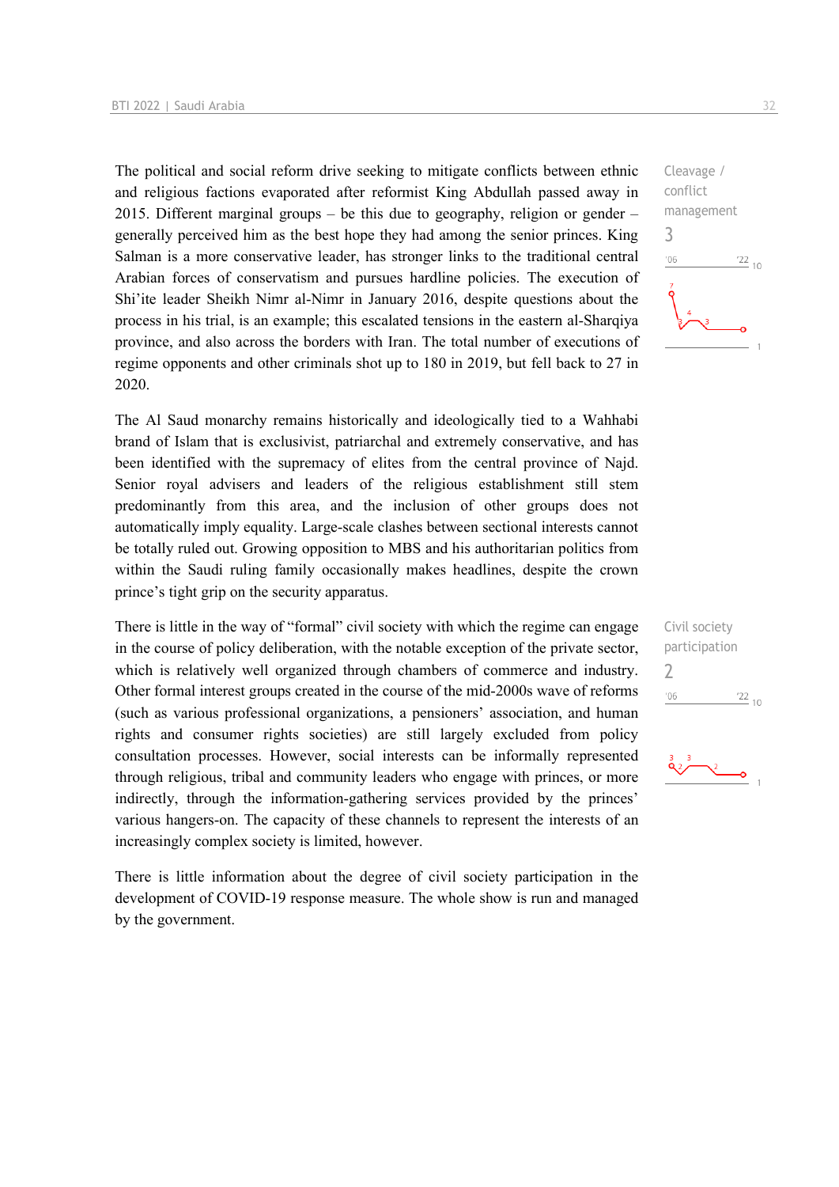The political and social reform drive seeking to mitigate conflicts between ethnic and religious factions evaporated after reformist King Abdullah passed away in 2015. Different marginal groups – be this due to geography, religion or gender – generally perceived him as the best hope they had among the senior princes. King Salman is a more conservative leader, has stronger links to the traditional central Arabian forces of conservatism and pursues hardline policies. The execution of Shi'ite leader Sheikh Nimr al-Nimr in January 2016, despite questions about the process in his trial, is an example; this escalated tensions in the eastern al-Sharqiya province, and also across the borders with Iran. The total number of executions of regime opponents and other criminals shot up to 180 in 2019, but fell back to 27 in 2020.

The Al Saud monarchy remains historically and ideologically tied to a Wahhabi brand of Islam that is exclusivist, patriarchal and extremely conservative, and has been identified with the supremacy of elites from the central province of Najd. Senior royal advisers and leaders of the religious establishment still stem predominantly from this area, and the inclusion of other groups does not automatically imply equality. Large-scale clashes between sectional interests cannot be totally ruled out. Growing opposition to MBS and his authoritarian politics from within the Saudi ruling family occasionally makes headlines, despite the crown prince's tight grip on the security apparatus.

There is little in the way of "formal" civil society with which the regime can engage in the course of policy deliberation, with the notable exception of the private sector, which is relatively well organized through chambers of commerce and industry. Other formal interest groups created in the course of the mid-2000s wave of reforms (such as various professional organizations, a pensioners' association, and human rights and consumer rights societies) are still largely excluded from policy consultation processes. However, social interests can be informally represented through religious, tribal and community leaders who engage with princes, or more indirectly, through the information-gathering services provided by the princes' various hangers-on. The capacity of these channels to represent the interests of an increasingly complex society is limited, however.

There is little information about the degree of civil society participation in the development of COVID-19 response measure. The whole show is run and managed by the government.





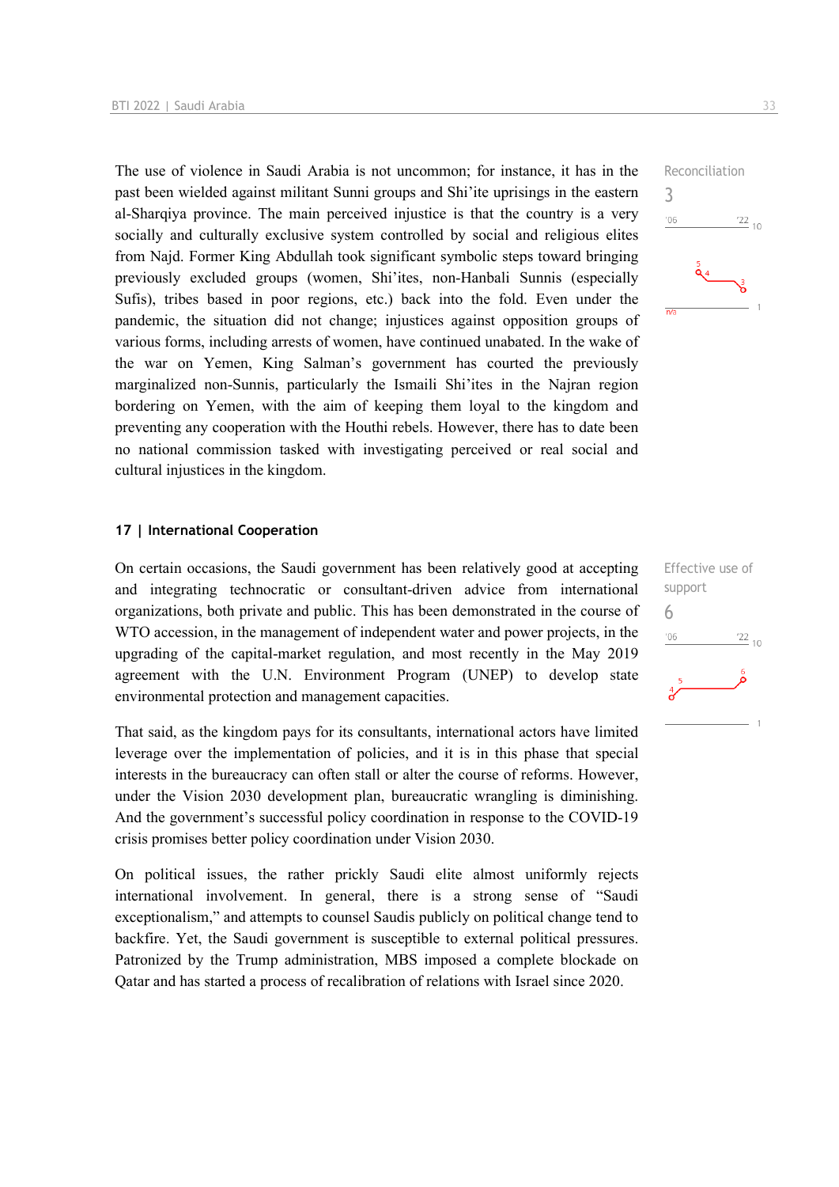The use of violence in Saudi Arabia is not uncommon; for instance, it has in the past been wielded against militant Sunni groups and Shi'ite uprisings in the eastern al-Sharqiya province. The main perceived injustice is that the country is a very socially and culturally exclusive system controlled by social and religious elites from Najd. Former King Abdullah took significant symbolic steps toward bringing previously excluded groups (women, Shi'ites, non-Hanbali Sunnis (especially Sufis), tribes based in poor regions, etc.) back into the fold. Even under the pandemic, the situation did not change; injustices against opposition groups of various forms, including arrests of women, have continued unabated. In the wake of the war on Yemen, King Salman's government has courted the previously marginalized non-Sunnis, particularly the Ismaili Shi'ites in the Najran region bordering on Yemen, with the aim of keeping them loyal to the kingdom and preventing any cooperation with the Houthi rebels. However, there has to date been no national commission tasked with investigating perceived or real social and cultural injustices in the kingdom.

#### **17 | International Cooperation**

On certain occasions, the Saudi government has been relatively good at accepting and integrating technocratic or consultant-driven advice from international organizations, both private and public. This has been demonstrated in the course of WTO accession, in the management of independent water and power projects, in the upgrading of the capital-market regulation, and most recently in the May 2019 agreement with the U.N. Environment Program (UNEP) to develop state environmental protection and management capacities.

That said, as the kingdom pays for its consultants, international actors have limited leverage over the implementation of policies, and it is in this phase that special interests in the bureaucracy can often stall or alter the course of reforms. However, under the Vision 2030 development plan, bureaucratic wrangling is diminishing. And the government's successful policy coordination in response to the COVID-19 crisis promises better policy coordination under Vision 2030.

On political issues, the rather prickly Saudi elite almost uniformly rejects international involvement. In general, there is a strong sense of "Saudi exceptionalism," and attempts to counsel Saudis publicly on political change tend to backfire. Yet, the Saudi government is susceptible to external political pressures. Patronized by the Trump administration, MBS imposed a complete blockade on Qatar and has started a process of recalibration of relations with Israel since 2020.



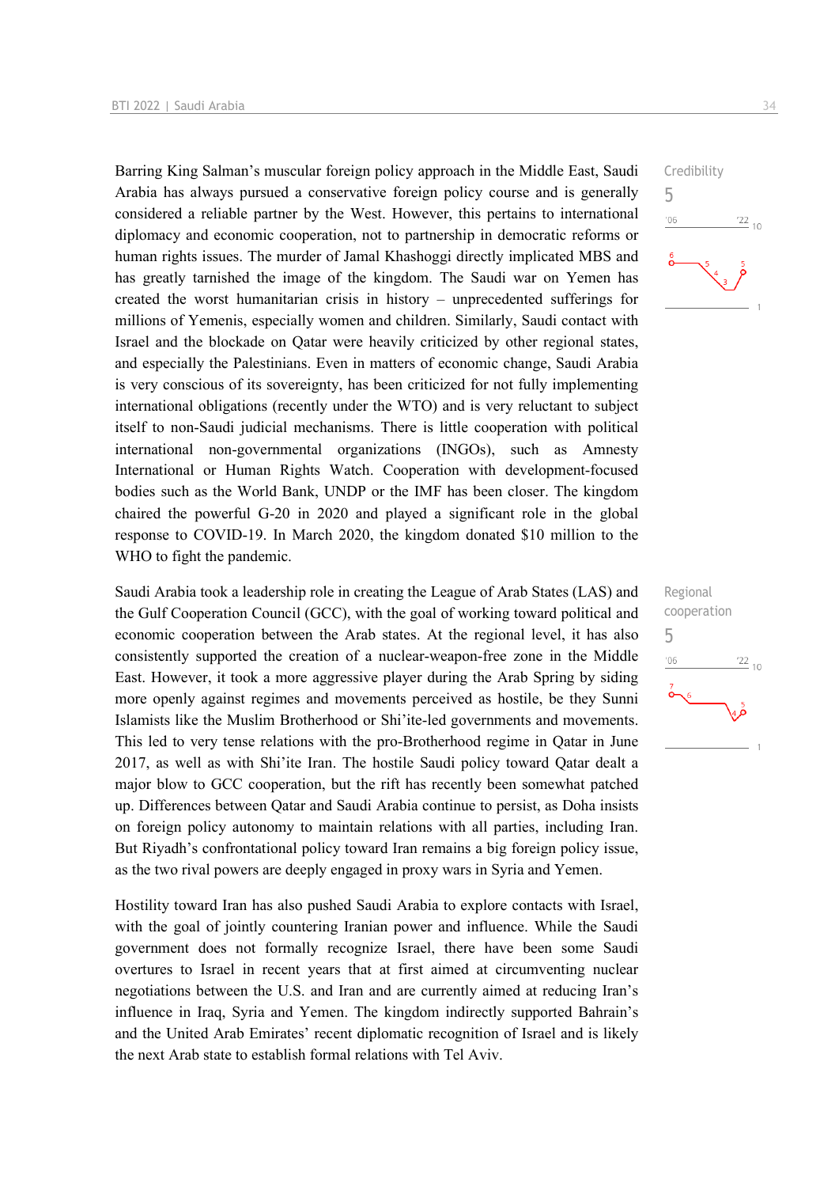Barring King Salman's muscular foreign policy approach in the Middle East, Saudi Arabia has always pursued a conservative foreign policy course and is generally considered a reliable partner by the West. However, this pertains to international diplomacy and economic cooperation, not to partnership in democratic reforms or human rights issues. The murder of Jamal Khashoggi directly implicated MBS and has greatly tarnished the image of the kingdom. The Saudi war on Yemen has created the worst humanitarian crisis in history – unprecedented sufferings for millions of Yemenis, especially women and children. Similarly, Saudi contact with Israel and the blockade on Qatar were heavily criticized by other regional states, and especially the Palestinians. Even in matters of economic change, Saudi Arabia is very conscious of its sovereignty, has been criticized for not fully implementing international obligations (recently under the WTO) and is very reluctant to subject itself to non-Saudi judicial mechanisms. There is little cooperation with political international non-governmental organizations (INGOs), such as Amnesty International or Human Rights Watch. Cooperation with development-focused bodies such as the World Bank, UNDP or the IMF has been closer. The kingdom chaired the powerful G-20 in 2020 and played a significant role in the global response to COVID-19. In March 2020, the kingdom donated \$10 million to the WHO to fight the pandemic.

Saudi Arabia took a leadership role in creating the League of Arab States (LAS) and the Gulf Cooperation Council (GCC), with the goal of working toward political and economic cooperation between the Arab states. At the regional level, it has also consistently supported the creation of a nuclear-weapon-free zone in the Middle East. However, it took a more aggressive player during the Arab Spring by siding more openly against regimes and movements perceived as hostile, be they Sunni Islamists like the Muslim Brotherhood or Shi'ite-led governments and movements. This led to very tense relations with the pro-Brotherhood regime in Qatar in June 2017, as well as with Shi'ite Iran. The hostile Saudi policy toward Qatar dealt a major blow to GCC cooperation, but the rift has recently been somewhat patched up. Differences between Qatar and Saudi Arabia continue to persist, as Doha insists on foreign policy autonomy to maintain relations with all parties, including Iran. But Riyadh's confrontational policy toward Iran remains a big foreign policy issue, as the two rival powers are deeply engaged in proxy wars in Syria and Yemen.

Hostility toward Iran has also pushed Saudi Arabia to explore contacts with Israel, with the goal of jointly countering Iranian power and influence. While the Saudi government does not formally recognize Israel, there have been some Saudi overtures to Israel in recent years that at first aimed at circumventing nuclear negotiations between the U.S. and Iran and are currently aimed at reducing Iran's influence in Iraq, Syria and Yemen. The kingdom indirectly supported Bahrain's and the United Arab Emirates' recent diplomatic recognition of Israel and is likely the next Arab state to establish formal relations with Tel Aviv.